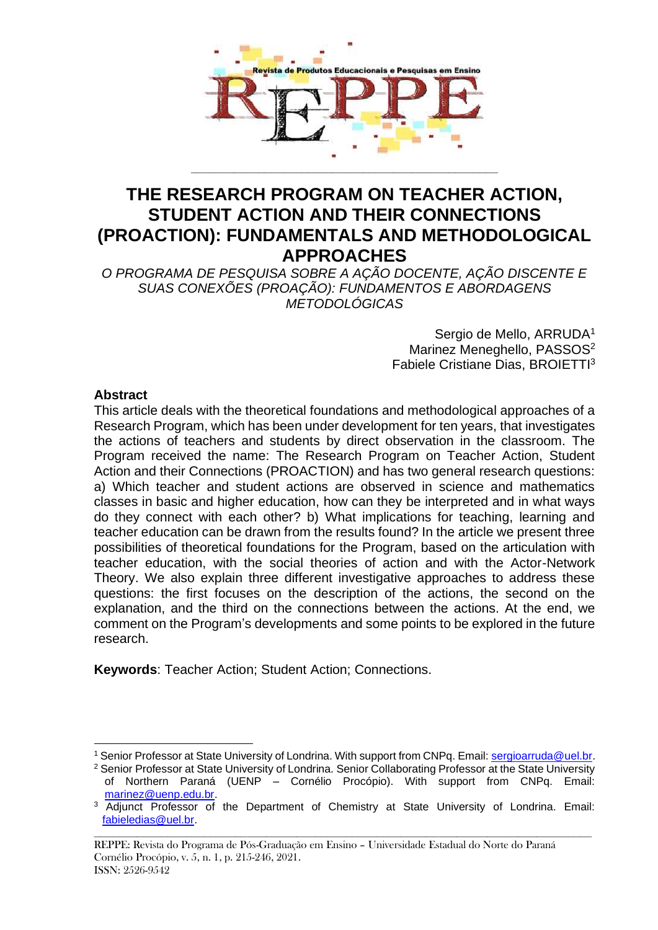

# **THE RESEARCH PROGRAM ON TEACHER ACTION, STUDENT ACTION AND THEIR CONNECTIONS (PROACTION): FUNDAMENTALS AND METHODOLOGICAL APPROACHES**

*O PROGRAMA DE PESQUISA SOBRE A AÇÃO DOCENTE, AÇÃO DISCENTE E SUAS CONEXÕES (PROAÇÃO): FUNDAMENTOS E ABORDAGENS METODOLÓGICAS*

> Sergio de Mello, ARRUDA<sup>1</sup> Marinez Meneghello, PASSOS<sup>2</sup> Fabiele Cristiane Dias, BROIETTI<sup>3</sup>

## **Abstract**

This article deals with the theoretical foundations and methodological approaches of a Research Program, which has been under development for ten years, that investigates the actions of teachers and students by direct observation in the classroom. The Program received the name: The Research Program on Teacher Action, Student Action and their Connections (PROACTION) and has two general research questions: a) Which teacher and student actions are observed in science and mathematics classes in basic and higher education, how can they be interpreted and in what ways do they connect with each other? b) What implications for teaching, learning and teacher education can be drawn from the results found? In the article we present three possibilities of theoretical foundations for the Program, based on the articulation with teacher education, with the social theories of action and with the Actor-Network Theory. We also explain three different investigative approaches to address these questions: the first focuses on the description of the actions, the second on the explanation, and the third on the connections between the actions. At the end, we comment on the Program's developments and some points to be explored in the future research.

**Keywords**: Teacher Action; Student Action; Connections.

<sup>&</sup>lt;sup>1</sup> Senior Professor at State University of Londrina. With support from CNPq. Email[: sergioarruda@uel.br.](mailto:sergioarruda@uel.br)

<sup>&</sup>lt;sup>2</sup> Senior Professor at State University of Londrina. Senior Collaborating Professor at the State University of Northern Paraná (UENP – Cornélio Procópio). With support from CNPq. Email: [marinez@uenp.edu.br.](mailto:marinez@uenp.edu.br)

**\_\_\_\_\_\_\_\_\_\_\_\_\_\_\_\_\_\_\_\_\_\_\_\_\_\_\_\_\_\_\_\_\_\_\_\_\_\_\_\_\_\_\_\_\_\_\_\_\_\_\_\_\_\_\_\_\_\_\_\_\_\_\_\_\_\_\_\_\_\_\_\_\_\_\_\_\_\_\_\_\_** <sup>3</sup> Adjunct Professor of the Department of Chemistry at State University of Londrina. Email: [fabieledias@uel.br.](mailto:fabieledias@uel.br)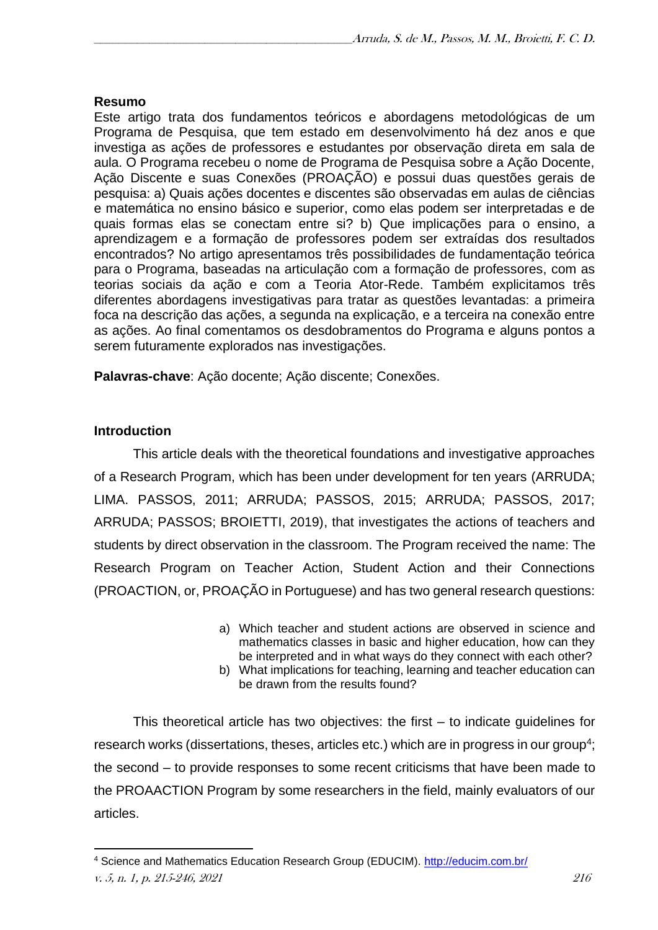## **Resumo**

Este artigo trata dos fundamentos teóricos e abordagens metodológicas de um Programa de Pesquisa, que tem estado em desenvolvimento há dez anos e que investiga as ações de professores e estudantes por observação direta em sala de aula. O Programa recebeu o nome de Programa de Pesquisa sobre a Ação Docente, Ação Discente e suas Conexões (PROAÇÃO) e possui duas questões gerais de pesquisa: a) Quais ações docentes e discentes são observadas em aulas de ciências e matemática no ensino básico e superior, como elas podem ser interpretadas e de quais formas elas se conectam entre si? b) Que implicações para o ensino, a aprendizagem e a formação de professores podem ser extraídas dos resultados encontrados? No artigo apresentamos três possibilidades de fundamentação teórica para o Programa, baseadas na articulação com a formação de professores, com as teorias sociais da ação e com a Teoria Ator-Rede. Também explicitamos três diferentes abordagens investigativas para tratar as questões levantadas: a primeira foca na descrição das ações, a segunda na explicação, e a terceira na conexão entre as ações. Ao final comentamos os desdobramentos do Programa e alguns pontos a serem futuramente explorados nas investigações.

**Palavras-chave**: Ação docente; Ação discente; Conexões.

## **Introduction**

This article deals with the theoretical foundations and investigative approaches of a Research Program, which has been under development for ten years (ARRUDA; LIMA. PASSOS, 2011; ARRUDA; PASSOS, 2015; ARRUDA; PASSOS, 2017; ARRUDA; PASSOS; BROIETTI, 2019), that investigates the actions of teachers and students by direct observation in the classroom. The Program received the name: The Research Program on Teacher Action, Student Action and their Connections (PROACTION, or, PROAÇÃO in Portuguese) and has two general research questions:

- a) Which teacher and student actions are observed in science and mathematics classes in basic and higher education, how can they be interpreted and in what ways do they connect with each other?
- b) What implications for teaching, learning and teacher education can be drawn from the results found?

This theoretical article has two objectives: the first – to indicate guidelines for research works (dissertations, theses, articles etc.) which are in progress in our group<sup>4</sup>; the second – to provide responses to some recent criticisms that have been made to the PROAACTION Program by some researchers in the field, mainly evaluators of our articles.

v. 5, n. 1, p. 215-246, 2021 216 4 Science and Mathematics Education Research Group (EDUCIM).<http://educim.com.br/>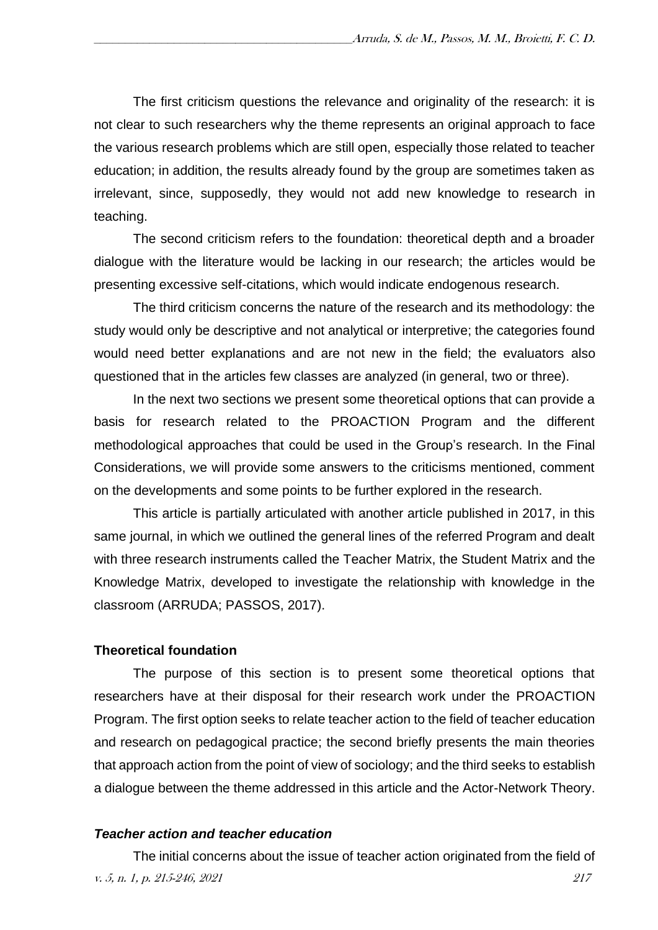The first criticism questions the relevance and originality of the research: it is not clear to such researchers why the theme represents an original approach to face the various research problems which are still open, especially those related to teacher education; in addition, the results already found by the group are sometimes taken as irrelevant, since, supposedly, they would not add new knowledge to research in teaching.

The second criticism refers to the foundation: theoretical depth and a broader dialogue with the literature would be lacking in our research; the articles would be presenting excessive self-citations, which would indicate endogenous research.

The third criticism concerns the nature of the research and its methodology: the study would only be descriptive and not analytical or interpretive; the categories found would need better explanations and are not new in the field; the evaluators also questioned that in the articles few classes are analyzed (in general, two or three).

In the next two sections we present some theoretical options that can provide a basis for research related to the PROACTION Program and the different methodological approaches that could be used in the Group's research. In the Final Considerations, we will provide some answers to the criticisms mentioned, comment on the developments and some points to be further explored in the research.

This article is partially articulated with another article published in 2017, in this same journal, in which we outlined the general lines of the referred Program and dealt with three research instruments called the Teacher Matrix, the Student Matrix and the Knowledge Matrix, developed to investigate the relationship with knowledge in the classroom (ARRUDA; PASSOS, 2017).

#### **Theoretical foundation**

The purpose of this section is to present some theoretical options that researchers have at their disposal for their research work under the PROACTION Program. The first option seeks to relate teacher action to the field of teacher education and research on pedagogical practice; the second briefly presents the main theories that approach action from the point of view of sociology; and the third seeks to establish a dialogue between the theme addressed in this article and the Actor-Network Theory.

#### *Teacher action and teacher education*

v. 5, n. 1, p. 215-246, 2021 217 The initial concerns about the issue of teacher action originated from the field of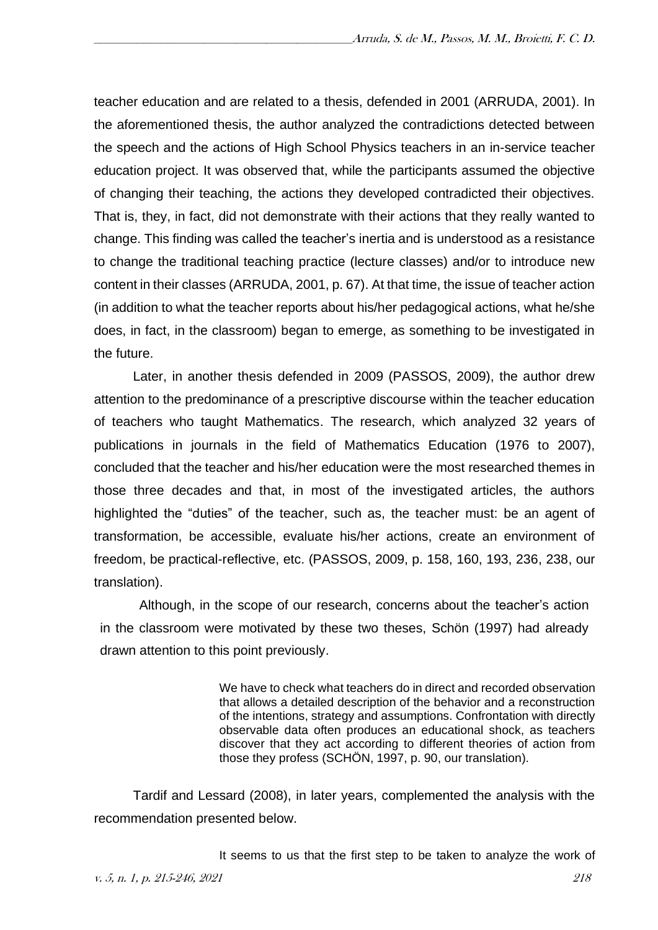teacher education and are related to a thesis, defended in 2001 (ARRUDA, 2001). In the aforementioned thesis, the author analyzed the contradictions detected between the speech and the actions of High School Physics teachers in an in-service teacher education project. It was observed that, while the participants assumed the objective of changing their teaching, the actions they developed contradicted their objectives. That is, they, in fact, did not demonstrate with their actions that they really wanted to change. This finding was called the teacher's inertia and is understood as a resistance to change the traditional teaching practice (lecture classes) and/or to introduce new content in their classes (ARRUDA, 2001, p. 67). At that time, the issue of teacher action (in addition to what the teacher reports about his/her pedagogical actions, what he/she does, in fact, in the classroom) began to emerge, as something to be investigated in the future.

Later, in another thesis defended in 2009 (PASSOS, 2009), the author drew attention to the predominance of a prescriptive discourse within the teacher education of teachers who taught Mathematics. The research, which analyzed 32 years of publications in journals in the field of Mathematics Education (1976 to 2007), concluded that the teacher and his/her education were the most researched themes in those three decades and that, in most of the investigated articles, the authors highlighted the "duties" of the teacher, such as, the teacher must: be an agent of transformation, be accessible, evaluate his/her actions, create an environment of freedom, be practical-reflective, etc. (PASSOS, 2009, p. 158, 160, 193, 236, 238, our translation).

Although, in the scope of our research, concerns about the teacher's action in the classroom were motivated by these two theses, Schön (1997) had already drawn attention to this point previously.

> We have to check what teachers do in direct and recorded observation that allows a detailed description of the behavior and a reconstruction of the intentions, strategy and assumptions. Confrontation with directly observable data often produces an educational shock, as teachers discover that they act according to different theories of action from those they profess (SCHÖN, 1997, p. 90, our translation).

Tardif and Lessard (2008), in later years, complemented the analysis with the recommendation presented below.

It seems to us that the first step to be taken to analyze the work of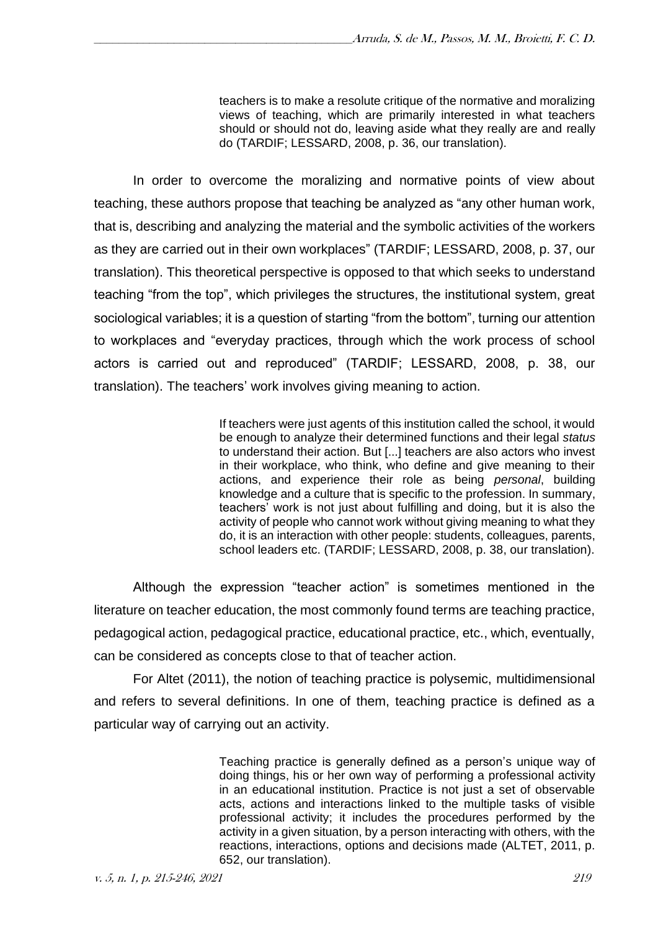teachers is to make a resolute critique of the normative and moralizing views of teaching, which are primarily interested in what teachers should or should not do, leaving aside what they really are and really do (TARDIF; LESSARD, 2008, p. 36, our translation).

In order to overcome the moralizing and normative points of view about teaching, these authors propose that teaching be analyzed as "any other human work, that is, describing and analyzing the material and the symbolic activities of the workers as they are carried out in their own workplaces" (TARDIF; LESSARD, 2008, p. 37, our translation). This theoretical perspective is opposed to that which seeks to understand teaching "from the top", which privileges the structures, the institutional system, great sociological variables; it is a question of starting "from the bottom", turning our attention to workplaces and "everyday practices, through which the work process of school actors is carried out and reproduced" (TARDIF; LESSARD, 2008, p. 38, our translation). The teachers' work involves giving meaning to action.

> If teachers were just agents of this institution called the school, it would be enough to analyze their determined functions and their legal *status* to understand their action. But [...] teachers are also actors who invest in their workplace, who think, who define and give meaning to their actions, and experience their role as being *personal*, building knowledge and a culture that is specific to the profession. In summary, teachers' work is not just about fulfilling and doing, but it is also the activity of people who cannot work without giving meaning to what they do, it is an interaction with other people: students, colleagues, parents, school leaders etc. (TARDIF; LESSARD, 2008, p. 38, our translation).

Although the expression "teacher action" is sometimes mentioned in the literature on teacher education, the most commonly found terms are teaching practice, pedagogical action, pedagogical practice, educational practice, etc., which, eventually, can be considered as concepts close to that of teacher action.

For Altet (2011), the notion of teaching practice is polysemic, multidimensional and refers to several definitions. In one of them, teaching practice is defined as a particular way of carrying out an activity.

> Teaching practice is generally defined as a person's unique way of doing things, his or her own way of performing a professional activity in an educational institution. Practice is not just a set of observable acts, actions and interactions linked to the multiple tasks of visible professional activity; it includes the procedures performed by the activity in a given situation, by a person interacting with others, with the reactions, interactions, options and decisions made (ALTET, 2011, p. 652, our translation).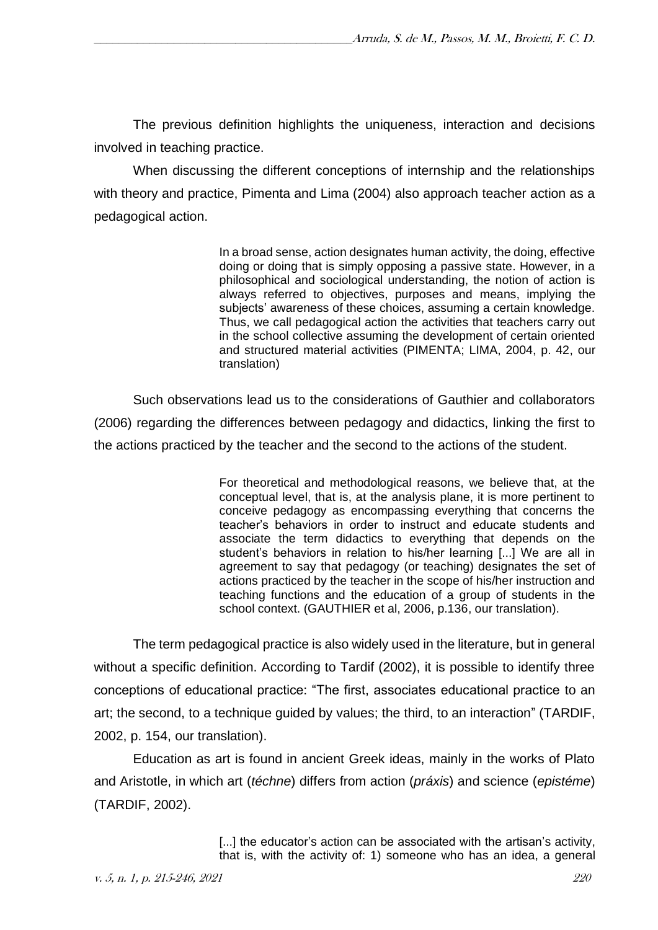The previous definition highlights the uniqueness, interaction and decisions involved in teaching practice.

When discussing the different conceptions of internship and the relationships with theory and practice, Pimenta and Lima (2004) also approach teacher action as a pedagogical action.

> In a broad sense, action designates human activity, the doing, effective doing or doing that is simply opposing a passive state. However, in a philosophical and sociological understanding, the notion of action is always referred to objectives, purposes and means, implying the subjects' awareness of these choices, assuming a certain knowledge. Thus, we call pedagogical action the activities that teachers carry out in the school collective assuming the development of certain oriented and structured material activities (PIMENTA; LIMA, 2004, p. 42, our translation)

Such observations lead us to the considerations of Gauthier and collaborators (2006) regarding the differences between pedagogy and didactics, linking the first to the actions practiced by the teacher and the second to the actions of the student.

> For theoretical and methodological reasons, we believe that, at the conceptual level, that is, at the analysis plane, it is more pertinent to conceive pedagogy as encompassing everything that concerns the teacher's behaviors in order to instruct and educate students and associate the term didactics to everything that depends on the student's behaviors in relation to his/her learning [...] We are all in agreement to say that pedagogy (or teaching) designates the set of actions practiced by the teacher in the scope of his/her instruction and teaching functions and the education of a group of students in the school context. (GAUTHIER et al, 2006, p.136, our translation).

The term pedagogical practice is also widely used in the literature, but in general without a specific definition. According to Tardif (2002), it is possible to identify three conceptions of educational practice: "The first, associates educational practice to an art; the second, to a technique guided by values; the third, to an interaction" (TARDIF, 2002, p. 154, our translation).

Education as art is found in ancient Greek ideas, mainly in the works of Plato and Aristotle, in which art (*téchne*) differs from action (*práxis*) and science (*epistéme*) (TARDIF, 2002).

> [...] the educator's action can be associated with the artisan's activity, that is, with the activity of: 1) someone who has an idea, a general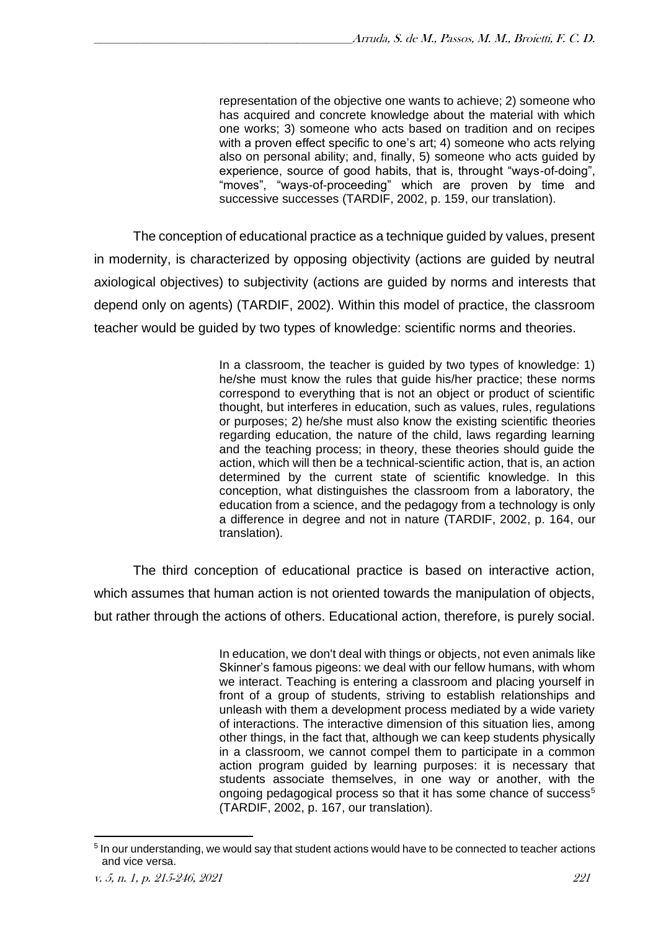representation of the objective one wants to achieve; 2) someone who has acquired and concrete knowledge about the material with which one works; 3) someone who acts based on tradition and on recipes with a proven effect specific to one's art; 4) someone who acts relying also on personal ability; and, finally, 5) someone who acts guided by experience, source of good habits, that is, throught "ways-of-doing", "moves", "ways-of-proceeding" which are proven by time and successive successes (TARDIF, 2002, p. 159, our translation).

The conception of educational practice as a technique guided by values, present in modernity, is characterized by opposing objectivity (actions are guided by neutral axiological objectives) to subjectivity (actions are guided by norms and interests that depend only on agents) (TARDIF, 2002). Within this model of practice, the classroom teacher would be guided by two types of knowledge: scientific norms and theories.

> In a classroom, the teacher is guided by two types of knowledge: 1) he/she must know the rules that guide his/her practice; these norms correspond to everything that is not an object or product of scientific thought, but interferes in education, such as values, rules, regulations or purposes; 2) he/she must also know the existing scientific theories regarding education, the nature of the child, laws regarding learning and the teaching process; in theory, these theories should guide the action, which will then be a technical-scientific action, that is, an action determined by the current state of scientific knowledge. In this conception, what distinguishes the classroom from a laboratory, the education from a science, and the pedagogy from a technology is only a difference in degree and not in nature (TARDIF, 2002, p. 164, our translation).

The third conception of educational practice is based on interactive action, which assumes that human action is not oriented towards the manipulation of objects, but rather through the actions of others. Educational action, therefore, is purely social.

> In education, we don't deal with things or objects, not even animals like Skinner's famous pigeons: we deal with our fellow humans, with whom we interact. Teaching is entering a classroom and placing yourself in front of a group of students, striving to establish relationships and unleash with them a development process mediated by a wide variety of interactions. The interactive dimension of this situation lies, among other things, in the fact that, although we can keep students physically in a classroom, we cannot compel them to participate in a common action program guided by learning purposes: it is necessary that students associate themselves, in one way or another, with the ongoing pedagogical process so that it has some chance of success<sup>5</sup> (TARDIF, 2002, p. 167, our translation).

<sup>&</sup>lt;sup>5</sup> In our understanding, we would say that student actions would have to be connected to teacher actions and vice versa.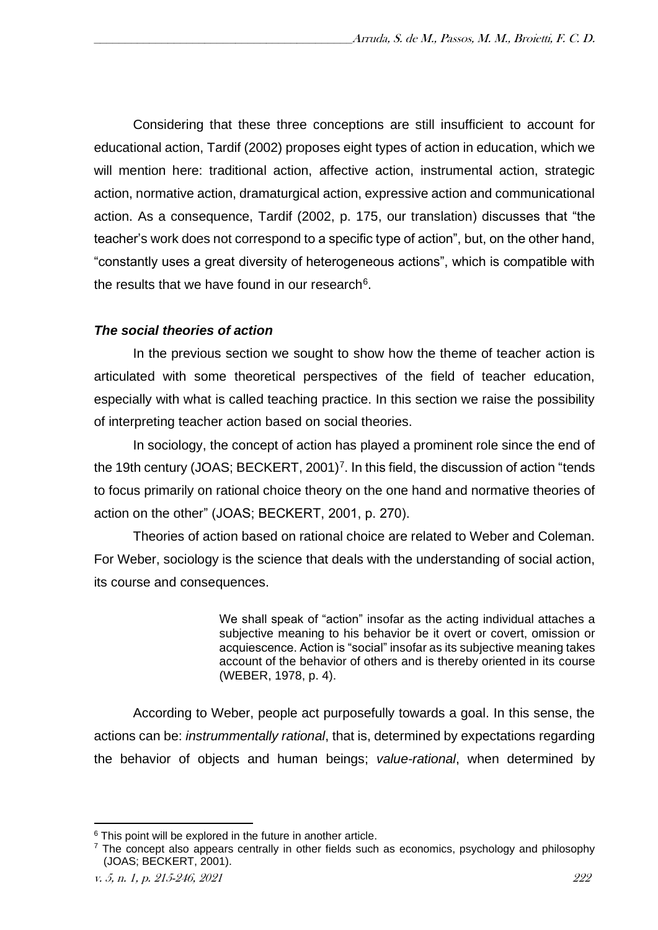Considering that these three conceptions are still insufficient to account for educational action, Tardif (2002) proposes eight types of action in education, which we will mention here: traditional action, affective action, instrumental action, strategic action, normative action, dramaturgical action, expressive action and communicational action. As a consequence, Tardif (2002, p. 175, our translation) discusses that "the teacher's work does not correspond to a specific type of action", but, on the other hand, "constantly uses a great diversity of heterogeneous actions", which is compatible with the results that we have found in our research $6$ .

## *The social theories of action*

In the previous section we sought to show how the theme of teacher action is articulated with some theoretical perspectives of the field of teacher education, especially with what is called teaching practice. In this section we raise the possibility of interpreting teacher action based on social theories.

In sociology, the concept of action has played a prominent role since the end of the 19th century (JOAS; BECKERT, 2001)<sup>7</sup>. In this field, the discussion of action "tends to focus primarily on rational choice theory on the one hand and normative theories of action on the other" (JOAS; BECKERT, 2001, p. 270).

Theories of action based on rational choice are related to Weber and Coleman. For Weber, sociology is the science that deals with the understanding of social action, its course and consequences.

> We shall speak of "action" insofar as the acting individual attaches a subjective meaning to his behavior be it overt or covert, omission or acquiescence. Action is "social" insofar as its subjective meaning takes account of the behavior of others and is thereby oriented in its course (WEBER, 1978, p. 4).

According to Weber, people act purposefully towards a goal. In this sense, the actions can be: *instrummentally rational*, that is, determined by expectations regarding the behavior of objects and human beings; *value-rational*, when determined by

 $6$  This point will be explored in the future in another article.

 $<sup>7</sup>$  The concept also appears centrally in other fields such as economics, psychology and philosophy</sup> (JOAS; BECKERT, 2001).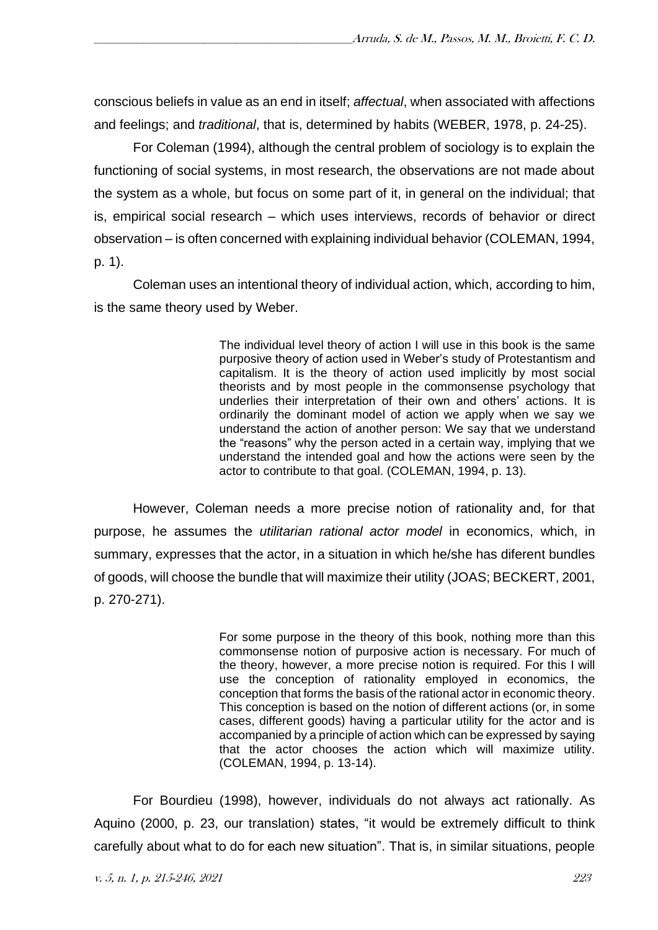conscious beliefs in value as an end in itself; *affectual*, when associated with affections and feelings; and *traditional*, that is, determined by habits (WEBER, 1978, p. 24-25).

For Coleman (1994), although the central problem of sociology is to explain the functioning of social systems, in most research, the observations are not made about the system as a whole, but focus on some part of it, in general on the individual; that is, empirical social research – which uses interviews, records of behavior or direct observation – is often concerned with explaining individual behavior (COLEMAN, 1994, p. 1).

Coleman uses an intentional theory of individual action, which, according to him, is the same theory used by Weber.

> The individual level theory of action I will use in this book is the same purposive theory of action used in Weber's study of Protestantism and capitalism. It is the theory of action used implicitly by most social theorists and by most people in the commonsense psychology that underlies their interpretation of their own and others' actions. It is ordinarily the dominant model of action we apply when we say we understand the action of another person: We say that we understand the "reasons" why the person acted in a certain way, implying that we understand the intended goal and how the actions were seen by the actor to contribute to that goal. (COLEMAN, 1994, p. 13).

However, Coleman needs a more precise notion of rationality and, for that purpose, he assumes the *utilitarian rational actor model* in economics, which, in summary, expresses that the actor, in a situation in which he/she has diferent bundles of goods, will choose the bundle that will maximize their utility (JOAS; BECKERT, 2001, p. 270-271).

> For some purpose in the theory of this book, nothing more than this commonsense notion of purposive action is necessary. For much of the theory, however, a more precise notion is required. For this I will use the conception of rationality employed in economics, the conception that forms the basis of the rational actor in economic theory. This conception is based on the notion of different actions (or, in some cases, different goods) having a particular utility for the actor and is accompanied by a principle of action which can be expressed by saying that the actor chooses the action which will maximize utility. (COLEMAN, 1994, p. 13-14).

For Bourdieu (1998), however, individuals do not always act rationally. As Aquino (2000, p. 23, our translation) states, "it would be extremely difficult to think carefully about what to do for each new situation". That is, in similar situations, people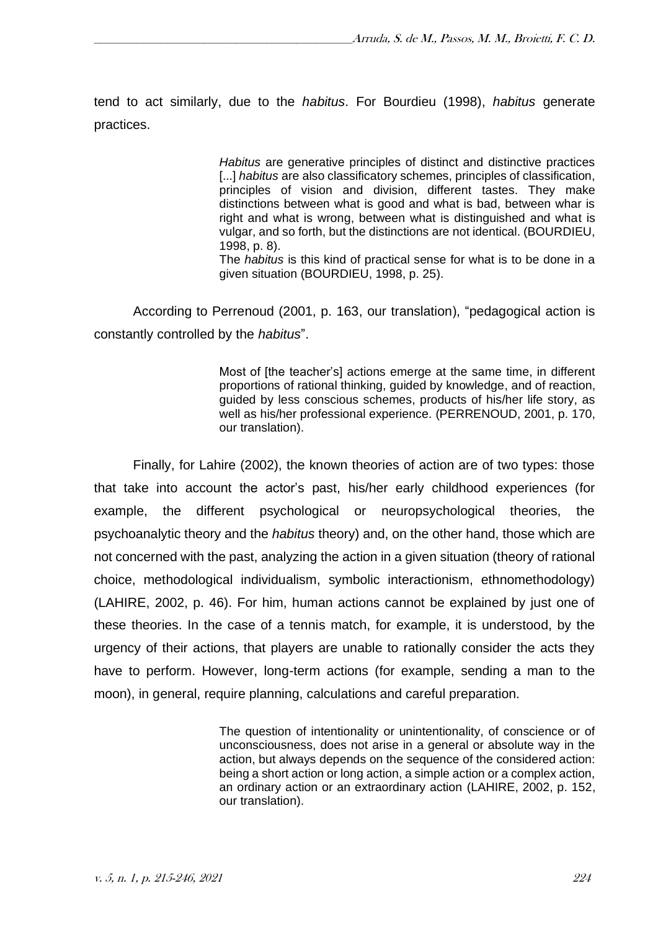tend to act similarly, due to the *habitus*. For Bourdieu (1998), *habitus* generate practices.

> *Habitus* are generative principles of distinct and distinctive practices [...] *habitus* are also classificatory schemes, principles of classification, principles of vision and division, different tastes. They make distinctions between what is good and what is bad, between whar is right and what is wrong, between what is distinguished and what is vulgar, and so forth, but the distinctions are not identical. (BOURDIEU, 1998, p. 8).

> The *habitus* is this kind of practical sense for what is to be done in a given situation (BOURDIEU, 1998, p. 25).

According to Perrenoud (2001, p. 163, our translation), "pedagogical action is constantly controlled by the *habitus*".

> Most of [the teacher's] actions emerge at the same time, in different proportions of rational thinking, guided by knowledge, and of reaction, guided by less conscious schemes, products of his/her life story, as well as his/her professional experience. (PERRENOUD, 2001, p. 170, our translation).

Finally, for Lahire (2002), the known theories of action are of two types: those that take into account the actor's past, his/her early childhood experiences (for example, the different psychological or neuropsychological theories, the psychoanalytic theory and the *habitus* theory) and, on the other hand, those which are not concerned with the past, analyzing the action in a given situation (theory of rational choice, methodological individualism, symbolic interactionism, ethnomethodology) (LAHIRE, 2002, p. 46). For him, human actions cannot be explained by just one of these theories. In the case of a tennis match, for example, it is understood, by the urgency of their actions, that players are unable to rationally consider the acts they have to perform. However, long-term actions (for example, sending a man to the moon), in general, require planning, calculations and careful preparation.

> The question of intentionality or unintentionality, of conscience or of unconsciousness, does not arise in a general or absolute way in the action, but always depends on the sequence of the considered action: being a short action or long action, a simple action or a complex action, an ordinary action or an extraordinary action (LAHIRE, 2002, p. 152, our translation).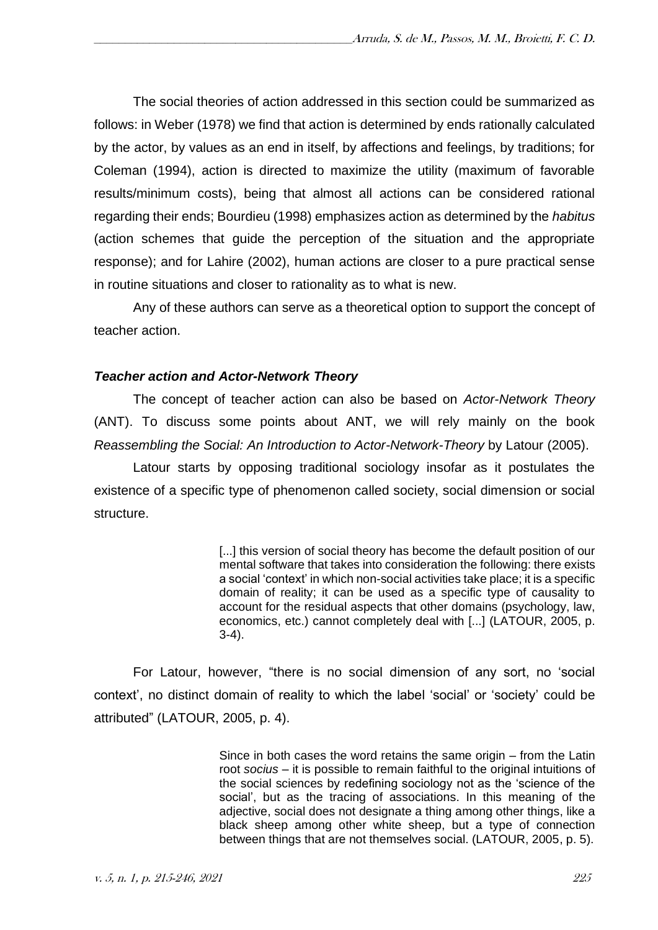The social theories of action addressed in this section could be summarized as follows: in Weber (1978) we find that action is determined by ends rationally calculated by the actor, by values as an end in itself, by affections and feelings, by traditions; for Coleman (1994), action is directed to maximize the utility (maximum of favorable results/minimum costs), being that almost all actions can be considered rational regarding their ends; Bourdieu (1998) emphasizes action as determined by the *habitus* (action schemes that guide the perception of the situation and the appropriate response); and for Lahire (2002), human actions are closer to a pure practical sense in routine situations and closer to rationality as to what is new.

Any of these authors can serve as a theoretical option to support the concept of teacher action.

## *Teacher action and Actor-Network Theory*

The concept of teacher action can also be based on *Actor-Network Theory* (ANT). To discuss some points about ANT, we will rely mainly on the book *Reassembling the Social: An Introduction to Actor-Network-Theory* by Latour (2005).

Latour starts by opposing traditional sociology insofar as it postulates the existence of a specific type of phenomenon called society, social dimension or social structure.

> [...] this version of social theory has become the default position of our mental software that takes into consideration the following: there exists a social 'context' in which non-social activities take place; it is a specific domain of reality; it can be used as a specific type of causality to account for the residual aspects that other domains (psychology, law, economics, etc.) cannot completely deal with [...] (LATOUR, 2005, p. 3-4).

For Latour, however, "there is no social dimension of any sort, no 'social context', no distinct domain of reality to which the label 'social' or 'society' could be attributed" (LATOUR, 2005, p. 4).

> Since in both cases the word retains the same origin – from the Latin root *socius* – it is possible to remain faithful to the original intuitions of the social sciences by redefining sociology not as the 'science of the social', but as the tracing of associations. In this meaning of the adjective, social does not designate a thing among other things, like a black sheep among other white sheep, but a type of connection between things that are not themselves social. (LATOUR, 2005, p. 5).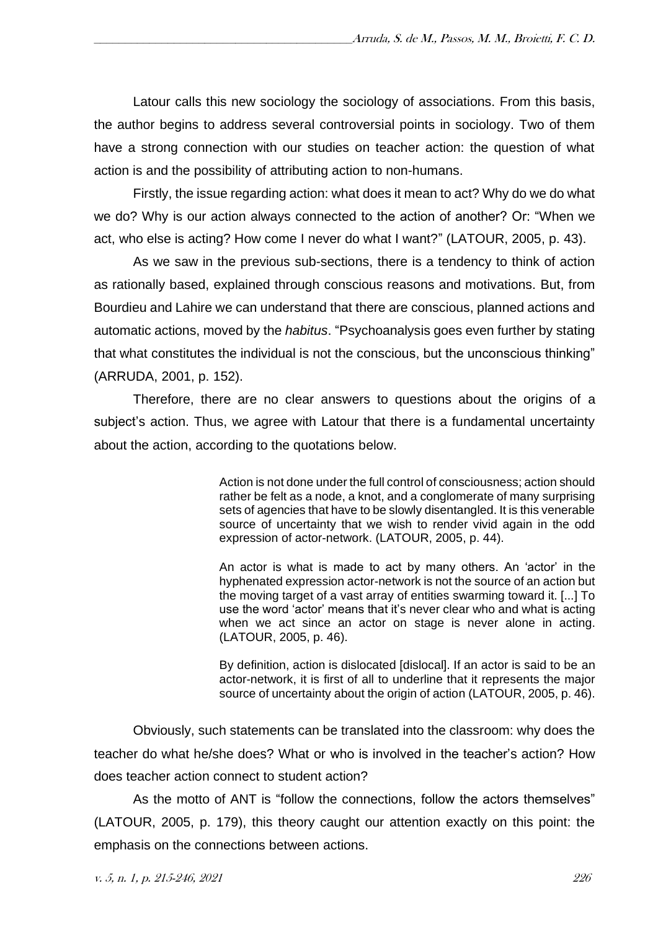Latour calls this new sociology the sociology of associations. From this basis, the author begins to address several controversial points in sociology. Two of them have a strong connection with our studies on teacher action: the question of what action is and the possibility of attributing action to non-humans.

Firstly, the issue regarding action: what does it mean to act? Why do we do what we do? Why is our action always connected to the action of another? Or: "When we act, who else is acting? How come I never do what I want?" (LATOUR, 2005, p. 43).

As we saw in the previous sub-sections, there is a tendency to think of action as rationally based, explained through conscious reasons and motivations. But, from Bourdieu and Lahire we can understand that there are conscious, planned actions and automatic actions, moved by the *habitus*. "Psychoanalysis goes even further by stating that what constitutes the individual is not the conscious, but the unconscious thinking" (ARRUDA, 2001, p. 152).

Therefore, there are no clear answers to questions about the origins of a subject's action. Thus, we agree with Latour that there is a fundamental uncertainty about the action, according to the quotations below.

> Action is not done under the full control of consciousness; action should rather be felt as a node, a knot, and a conglomerate of many surprising sets of agencies that have to be slowly disentangled. It is this venerable source of uncertainty that we wish to render vivid again in the odd expression of actor-network. (LATOUR, 2005, p. 44).

> An actor is what is made to act by many others. An 'actor' in the hyphenated expression actor-network is not the source of an action but the moving target of a vast array of entities swarming toward it. [...] To use the word 'actor' means that it's never clear who and what is acting when we act since an actor on stage is never alone in acting. (LATOUR, 2005, p. 46).

> By definition, action is dislocated [dislocal]. If an actor is said to be an actor-network, it is first of all to underline that it represents the major source of uncertainty about the origin of action (LATOUR, 2005, p. 46).

Obviously, such statements can be translated into the classroom: why does the teacher do what he/she does? What or who is involved in the teacher's action? How does teacher action connect to student action?

As the motto of ANT is "follow the connections, follow the actors themselves" (LATOUR, 2005, p. 179), this theory caught our attention exactly on this point: the emphasis on the connections between actions.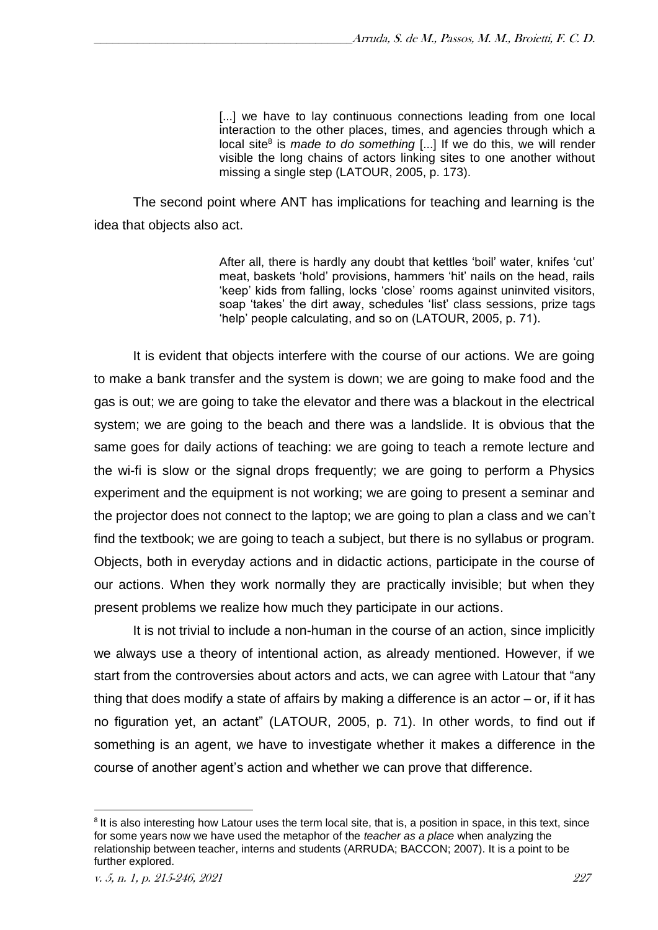[...] we have to lay continuous connections leading from one local interaction to the other places, times, and agencies through which a local site<sup>8</sup> is *made to do something* [...] If we do this, we will render visible the long chains of actors linking sites to one another without missing a single step (LATOUR, 2005, p. 173).

The second point where ANT has implications for teaching and learning is the idea that objects also act.

> After all, there is hardly any doubt that kettles 'boil' water, knifes 'cut' meat, baskets 'hold' provisions, hammers 'hit' nails on the head, rails 'keep' kids from falling, locks 'close' rooms against uninvited visitors, soap 'takes' the dirt away, schedules 'list' class sessions, prize tags 'help' people calculating, and so on (LATOUR, 2005, p. 71).

It is evident that objects interfere with the course of our actions. We are going to make a bank transfer and the system is down; we are going to make food and the gas is out; we are going to take the elevator and there was a blackout in the electrical system; we are going to the beach and there was a landslide. It is obvious that the same goes for daily actions of teaching: we are going to teach a remote lecture and the wi-fi is slow or the signal drops frequently; we are going to perform a Physics experiment and the equipment is not working; we are going to present a seminar and the projector does not connect to the laptop; we are going to plan a class and we can't find the textbook; we are going to teach a subject, but there is no syllabus or program. Objects, both in everyday actions and in didactic actions, participate in the course of our actions. When they work normally they are practically invisible; but when they present problems we realize how much they participate in our actions.

It is not trivial to include a non-human in the course of an action, since implicitly we always use a theory of intentional action, as already mentioned. However, if we start from the controversies about actors and acts, we can agree with Latour that "any thing that does modify a state of affairs by making a difference is an actor  $-$  or, if it has no figuration yet, an actant" (LATOUR, 2005, p. 71). In other words, to find out if something is an agent, we have to investigate whether it makes a difference in the course of another agent's action and whether we can prove that difference.

<sup>&</sup>lt;sup>8</sup> It is also interesting how Latour uses the term local site, that is, a position in space, in this text, since for some years now we have used the metaphor of the *teacher as a place* when analyzing the relationship between teacher, interns and students (ARRUDA; BACCON; 2007). It is a point to be further explored.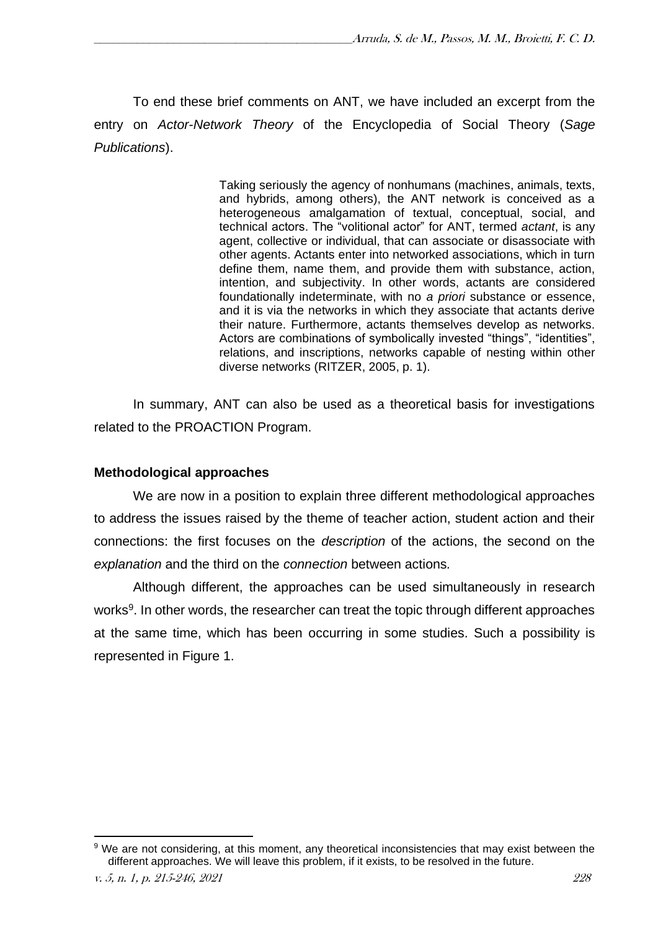To end these brief comments on ANT, we have included an excerpt from the entry on *Actor-Network Theory* of the Encyclopedia of Social Theory (*Sage Publications*).

> Taking seriously the agency of nonhumans (machines, animals, texts, and hybrids, among others), the ANT network is conceived as a heterogeneous amalgamation of textual, conceptual, social, and technical actors. The "volitional actor" for ANT, termed *actant*, is any agent, collective or individual, that can associate or disassociate with other agents. Actants enter into networked associations, which in turn define them, name them, and provide them with substance, action, intention, and subjectivity. In other words, actants are considered foundationally indeterminate, with no *a priori* substance or essence, and it is via the networks in which they associate that actants derive their nature. Furthermore, actants themselves develop as networks. Actors are combinations of symbolically invested "things", "identities", relations, and inscriptions, networks capable of nesting within other diverse networks (RITZER, 2005, p. 1).

In summary, ANT can also be used as a theoretical basis for investigations related to the PROACTION Program.

#### **Methodological approaches**

We are now in a position to explain three different methodological approaches to address the issues raised by the theme of teacher action, student action and their connections: the first focuses on the *description* of the actions, the second on the *explanation* and the third on the *connection* between actions*.*

Although different, the approaches can be used simultaneously in research works<sup>9</sup>. In other words, the researcher can treat the topic through different approaches at the same time, which has been occurring in some studies. Such a possibility is represented in Figure 1.

<sup>&</sup>lt;sup>9</sup> We are not considering, at this moment, any theoretical inconsistencies that may exist between the different approaches. We will leave this problem, if it exists, to be resolved in the future.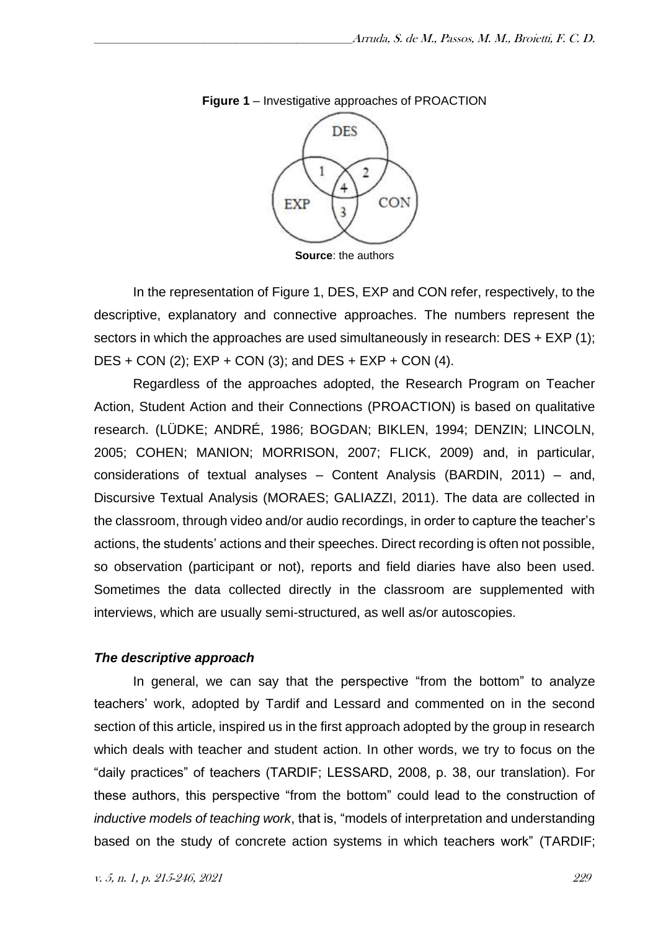

**Figure 1** – Investigative approaches of PROACTION

**Source**: the authors

In the representation of Figure 1, DES, EXP and CON refer, respectively, to the descriptive, explanatory and connective approaches. The numbers represent the sectors in which the approaches are used simultaneously in research: DES + EXP (1);  $DES + CON (2)$ ;  $EXP + CON (3)$ ; and  $DES + EXP + CON (4)$ .

Regardless of the approaches adopted, the Research Program on Teacher Action, Student Action and their Connections (PROACTION) is based on qualitative research. (LÜDKE; ANDRÉ, 1986; BOGDAN; BIKLEN, 1994; DENZIN; LINCOLN, 2005; COHEN; MANION; MORRISON, 2007; FLICK, 2009) and, in particular, considerations of textual analyses – Content Analysis (BARDIN, 2011) – and, Discursive Textual Analysis (MORAES; GALIAZZI, 2011). The data are collected in the classroom, through video and/or audio recordings, in order to capture the teacher's actions, the students' actions and their speeches. Direct recording is often not possible, so observation (participant or not), reports and field diaries have also been used. Sometimes the data collected directly in the classroom are supplemented with interviews, which are usually semi-structured, as well as/or autoscopies.

## *The descriptive approach*

In general, we can say that the perspective "from the bottom" to analyze teachers' work, adopted by Tardif and Lessard and commented on in the second section of this article, inspired us in the first approach adopted by the group in research which deals with teacher and student action. In other words, we try to focus on the "daily practices" of teachers (TARDIF; LESSARD, 2008, p. 38, our translation). For these authors, this perspective "from the bottom" could lead to the construction of *inductive models of teaching work*, that is, "models of interpretation and understanding based on the study of concrete action systems in which teachers work" (TARDIF;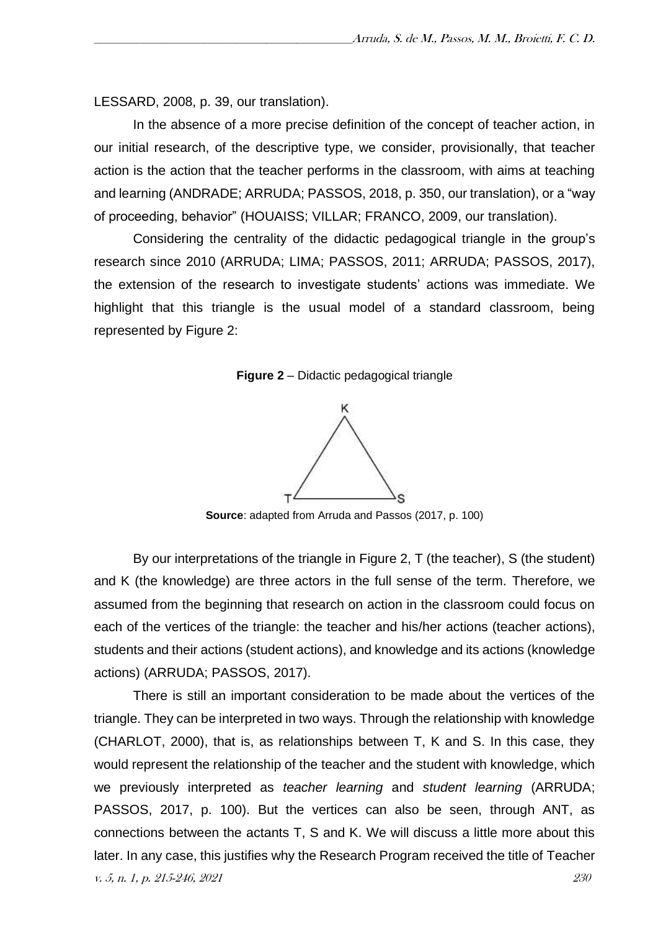LESSARD, 2008, p. 39, our translation).

In the absence of a more precise definition of the concept of teacher action, in our initial research, of the descriptive type, we consider, provisionally, that teacher action is the action that the teacher performs in the classroom, with aims at teaching and learning (ANDRADE; ARRUDA; PASSOS, 2018, p. 350, our translation), or a "way of proceeding, behavior" (HOUAISS; VILLAR; FRANCO, 2009, our translation).

Considering the centrality of the didactic pedagogical triangle in the group's research since 2010 (ARRUDA; LIMA; PASSOS, 2011; ARRUDA; PASSOS, 2017), the extension of the research to investigate students' actions was immediate. We highlight that this triangle is the usual model of a standard classroom, being represented by Figure 2:





**Source**: adapted from Arruda and Passos (2017, p. 100)

By our interpretations of the triangle in Figure 2, T (the teacher), S (the student) and K (the knowledge) are three actors in the full sense of the term. Therefore, we assumed from the beginning that research on action in the classroom could focus on each of the vertices of the triangle: the teacher and his/her actions (teacher actions), students and their actions (student actions), and knowledge and its actions (knowledge actions) (ARRUDA; PASSOS, 2017).

v. 5, n. 1, p. 215-246, 2021 230 There is still an important consideration to be made about the vertices of the triangle. They can be interpreted in two ways. Through the relationship with knowledge (CHARLOT, 2000), that is, as relationships between T, K and S. In this case, they would represent the relationship of the teacher and the student with knowledge, which we previously interpreted as *teacher learning* and *student learning* (ARRUDA; PASSOS, 2017, p. 100). But the vertices can also be seen, through ANT, as connections between the actants T, S and K. We will discuss a little more about this later. In any case, this justifies why the Research Program received the title of Teacher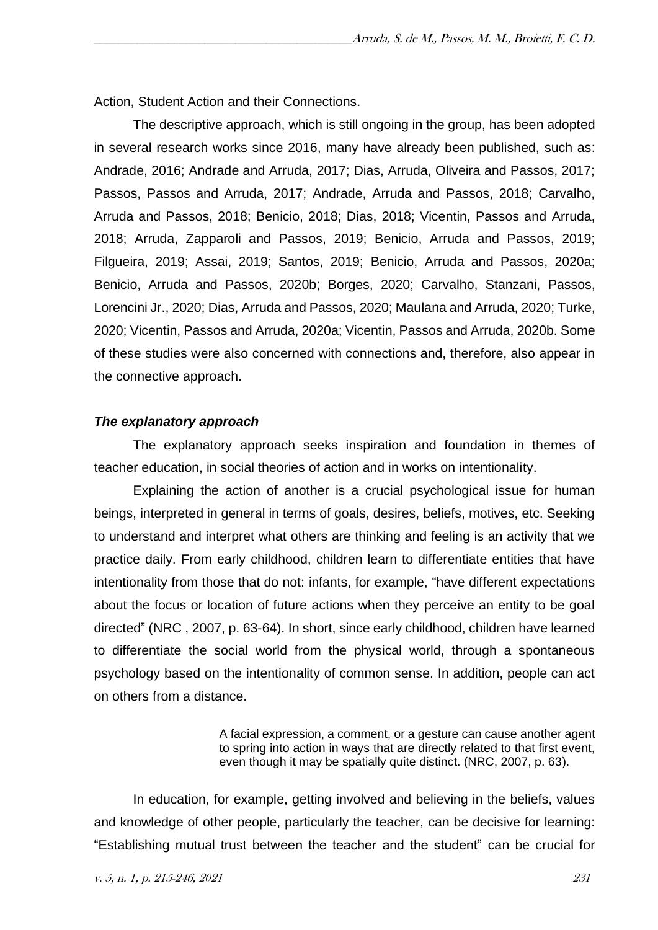Action, Student Action and their Connections.

The descriptive approach, which is still ongoing in the group, has been adopted in several research works since 2016, many have already been published, such as: Andrade, 2016; Andrade and Arruda, 2017; Dias, Arruda, Oliveira and Passos, 2017; Passos, Passos and Arruda, 2017; Andrade, Arruda and Passos, 2018; Carvalho, Arruda and Passos, 2018; Benicio, 2018; Dias, 2018; Vicentin, Passos and Arruda, 2018; Arruda, Zapparoli and Passos, 2019; Benicio, Arruda and Passos, 2019; Filgueira, 2019; Assai, 2019; Santos, 2019; Benicio, Arruda and Passos, 2020a; Benicio, Arruda and Passos, 2020b; Borges, 2020; Carvalho, Stanzani, Passos, Lorencini Jr., 2020; Dias, Arruda and Passos, 2020; Maulana and Arruda, 2020; Turke, 2020; Vicentin, Passos and Arruda, 2020a; Vicentin, Passos and Arruda, 2020b. Some of these studies were also concerned with connections and, therefore, also appear in the connective approach.

### *The explanatory approach*

The explanatory approach seeks inspiration and foundation in themes of teacher education, in social theories of action and in works on intentionality.

Explaining the action of another is a crucial psychological issue for human beings, interpreted in general in terms of goals, desires, beliefs, motives, etc. Seeking to understand and interpret what others are thinking and feeling is an activity that we practice daily. From early childhood, children learn to differentiate entities that have intentionality from those that do not: infants, for example, "have different expectations about the focus or location of future actions when they perceive an entity to be goal directed" (NRC , 2007, p. 63-64). In short, since early childhood, children have learned to differentiate the social world from the physical world, through a spontaneous psychology based on the intentionality of common sense. In addition, people can act on others from a distance.

> A facial expression, a comment, or a gesture can cause another agent to spring into action in ways that are directly related to that first event, even though it may be spatially quite distinct. (NRC, 2007, p. 63).

In education, for example, getting involved and believing in the beliefs, values and knowledge of other people, particularly the teacher, can be decisive for learning: "Establishing mutual trust between the teacher and the student" can be crucial for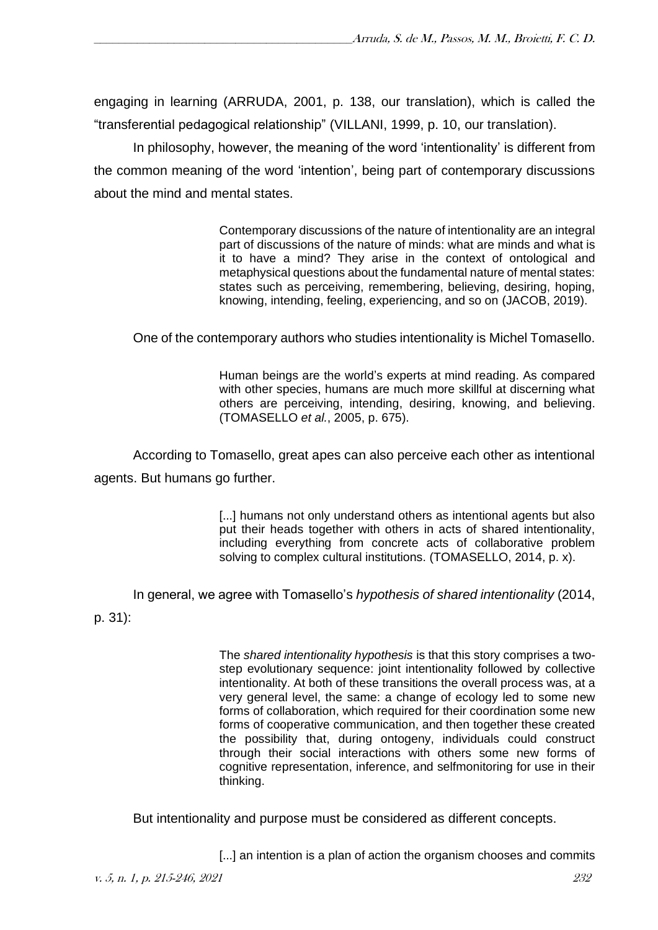engaging in learning (ARRUDA, 2001, p. 138, our translation), which is called the "transferential pedagogical relationship" (VILLANI, 1999, p. 10, our translation).

In philosophy, however, the meaning of the word 'intentionality' is different from the common meaning of the word 'intention', being part of contemporary discussions about the mind and mental states.

> Contemporary discussions of the nature of intentionality are an integral part of discussions of the nature of minds: what are minds and what is it to have a mind? They arise in the context of ontological and metaphysical questions about the fundamental nature of mental states: states such as perceiving, remembering, believing, desiring, hoping, knowing, intending, feeling, experiencing, and so on (JACOB, 2019).

One of the contemporary authors who studies intentionality is Michel Tomasello.

Human beings are the world's experts at mind reading. As compared with other species, humans are much more skillful at discerning what others are perceiving, intending, desiring, knowing, and believing. (TOMASELLO *et al.*, 2005, p. 675).

According to Tomasello, great apes can also perceive each other as intentional agents. But humans go further.

> [...] humans not only understand others as intentional agents but also put their heads together with others in acts of shared intentionality, including everything from concrete acts of collaborative problem solving to complex cultural institutions. (TOMASELLO, 2014, p. x).

In general, we agree with Tomasello's *hypothesis of shared intentionality* (2014,

p. 31):

The *shared intentionality hypothesis* is that this story comprises a twostep evolutionary sequence: joint intentionality followed by collective intentionality. At both of these transitions the overall process was, at a very general level, the same: a change of ecology led to some new forms of collaboration, which required for their coordination some new forms of cooperative communication, and then together these created the possibility that, during ontogeny, individuals could construct through their social interactions with others some new forms of cognitive representation, inference, and selfmonitoring for use in their thinking.

But intentionality and purpose must be considered as different concepts.

[...] an intention is a plan of action the organism chooses and commits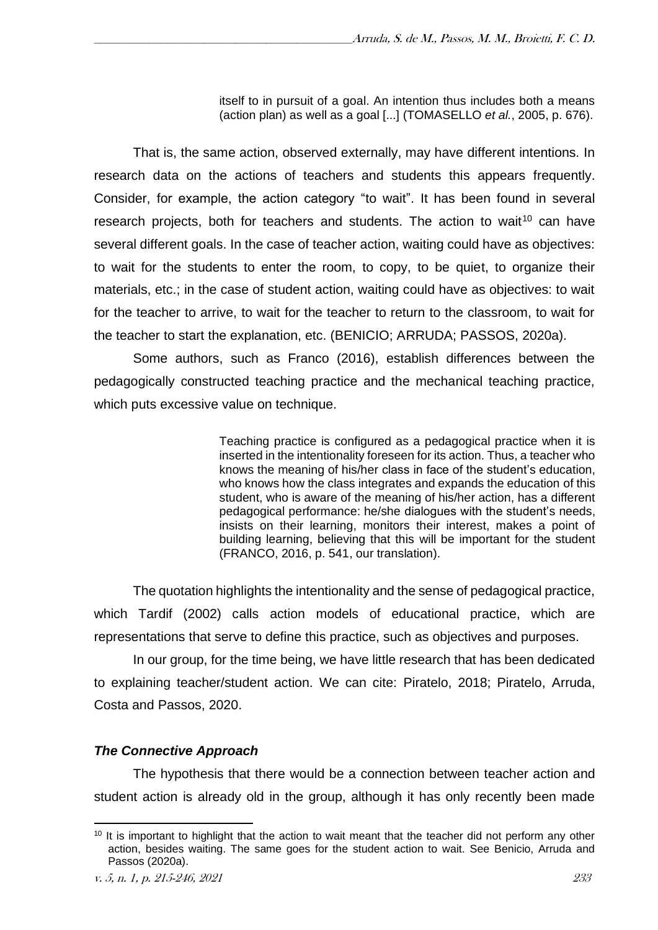itself to in pursuit of a goal. An intention thus includes both a means (action plan) as well as a goal [...] (TOMASELLO *et al.*, 2005, p. 676).

That is, the same action, observed externally, may have different intentions. In research data on the actions of teachers and students this appears frequently. Consider, for example, the action category "to wait". It has been found in several research projects, both for teachers and students. The action to wait<sup>10</sup> can have several different goals. In the case of teacher action, waiting could have as objectives: to wait for the students to enter the room, to copy, to be quiet, to organize their materials, etc.; in the case of student action, waiting could have as objectives: to wait for the teacher to arrive, to wait for the teacher to return to the classroom, to wait for the teacher to start the explanation, etc. (BENICIO; ARRUDA; PASSOS, 2020a).

Some authors, such as Franco (2016), establish differences between the pedagogically constructed teaching practice and the mechanical teaching practice, which puts excessive value on technique.

> Teaching practice is configured as a pedagogical practice when it is inserted in the intentionality foreseen for its action. Thus, a teacher who knows the meaning of his/her class in face of the student's education, who knows how the class integrates and expands the education of this student, who is aware of the meaning of his/her action, has a different pedagogical performance: he/she dialogues with the student's needs, insists on their learning, monitors their interest, makes a point of building learning, believing that this will be important for the student (FRANCO, 2016, p. 541, our translation).

The quotation highlights the intentionality and the sense of pedagogical practice, which Tardif (2002) calls action models of educational practice, which are representations that serve to define this practice, such as objectives and purposes.

In our group, for the time being, we have little research that has been dedicated to explaining teacher/student action. We can cite: Piratelo, 2018; Piratelo, Arruda, Costa and Passos, 2020.

## *The Connective Approach*

The hypothesis that there would be a connection between teacher action and student action is already old in the group, although it has only recently been made

 $10$  It is important to highlight that the action to wait meant that the teacher did not perform any other action, besides waiting. The same goes for the student action to wait. See Benicio, Arruda and Passos (2020a).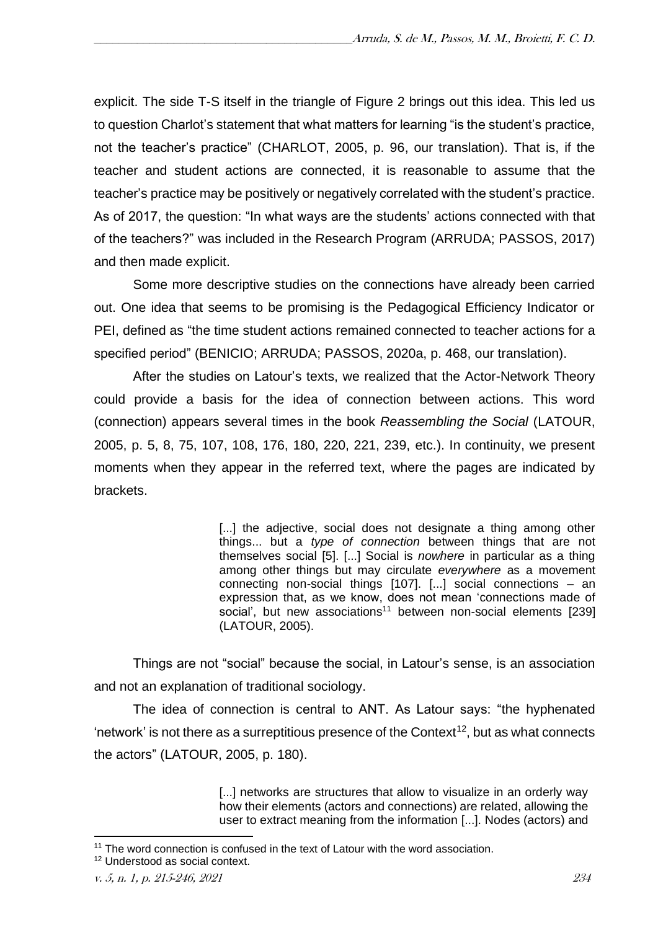explicit. The side T-S itself in the triangle of Figure 2 brings out this idea. This led us to question Charlot's statement that what matters for learning "is the student's practice, not the teacher's practice" (CHARLOT, 2005, p. 96, our translation). That is, if the teacher and student actions are connected, it is reasonable to assume that the teacher's practice may be positively or negatively correlated with the student's practice. As of 2017, the question: "In what ways are the students' actions connected with that of the teachers?" was included in the Research Program (ARRUDA; PASSOS, 2017) and then made explicit.

Some more descriptive studies on the connections have already been carried out. One idea that seems to be promising is the Pedagogical Efficiency Indicator or PEI, defined as "the time student actions remained connected to teacher actions for a specified period" (BENICIO; ARRUDA; PASSOS, 2020a, p. 468, our translation).

After the studies on Latour's texts, we realized that the Actor-Network Theory could provide a basis for the idea of connection between actions. This word (connection) appears several times in the book *Reassembling the Social* (LATOUR, 2005, p. 5, 8, 75, 107, 108, 176, 180, 220, 221, 239, etc.). In continuity, we present moments when they appear in the referred text, where the pages are indicated by brackets.

> [...] the adjective, social does not designate a thing among other things... but a *type of connection* between things that are not themselves social [5]. [...] Social is *nowhere* in particular as a thing among other things but may circulate *everywhere* as a movement connecting non-social things [107]. [...] social connections – an expression that, as we know, does not mean 'connections made of social', but new associations<sup>11</sup> between non-social elements [239] (LATOUR, 2005).

Things are not "social" because the social, in Latour's sense, is an association and not an explanation of traditional sociology.

The idea of connection is central to ANT. As Latour says: "the hyphenated 'network' is not there as a surreptitious presence of the Context<sup>12</sup>, but as what connects the actors" (LATOUR, 2005, p. 180).

> [...] networks are structures that allow to visualize in an orderly way how their elements (actors and connections) are related, allowing the user to extract meaning from the information [...]. Nodes (actors) and

<sup>&</sup>lt;sup>11</sup> The word connection is confused in the text of Latour with the word association.

<sup>12</sup> Understood as social context.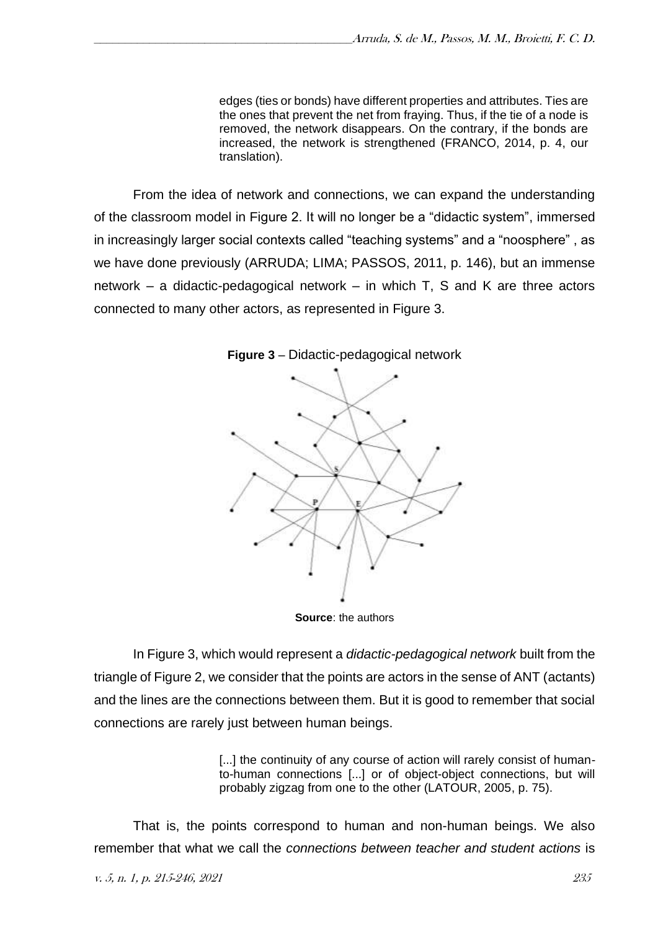edges (ties or bonds) have different properties and attributes. Ties are the ones that prevent the net from fraying. Thus, if the tie of a node is removed, the network disappears. On the contrary, if the bonds are increased, the network is strengthened (FRANCO, 2014, p. 4, our translation).

From the idea of network and connections, we can expand the understanding of the classroom model in Figure 2. It will no longer be a "didactic system", immersed in increasingly larger social contexts called "teaching systems" and a "noosphere" , as we have done previously (ARRUDA; LIMA; PASSOS, 2011, p. 146), but an immense network – a didactic-pedagogical network – in which T, S and K are three actors connected to many other actors, as represented in Figure 3.



**Figure 3** – Didactic-pedagogical network

**Source**: the authors

In Figure 3, which would represent a *didactic-pedagogical network* built from the triangle of Figure 2, we consider that the points are actors in the sense of ANT (actants) and the lines are the connections between them. But it is good to remember that social connections are rarely just between human beings.

> [...] the continuity of any course of action will rarely consist of humanto-human connections [...] or of object-object connections, but will probably zigzag from one to the other (LATOUR, 2005, p. 75).

That is, the points correspond to human and non-human beings. We also remember that what we call the *connections between teacher and student actions* is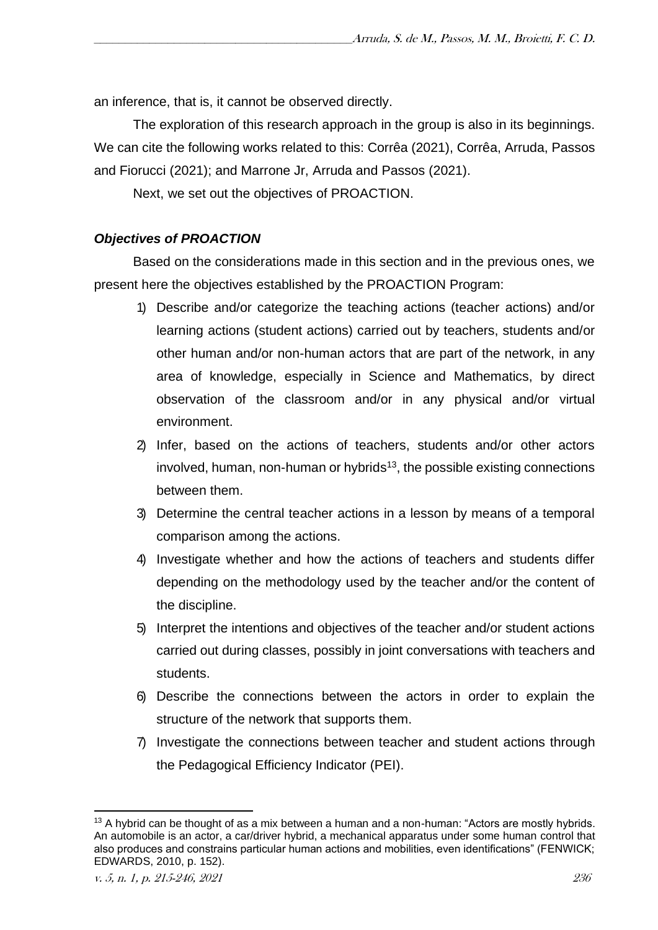an inference, that is, it cannot be observed directly.

The exploration of this research approach in the group is also in its beginnings. We can cite the following works related to this: Corrêa (2021), Corrêa, Arruda, Passos and Fiorucci (2021); and Marrone Jr, Arruda and Passos (2021).

Next, we set out the objectives of PROACTION.

## *Objectives of PROACTION*

Based on the considerations made in this section and in the previous ones, we present here the objectives established by the PROACTION Program:

- 1) Describe and/or categorize the teaching actions (teacher actions) and/or learning actions (student actions) carried out by teachers, students and/or other human and/or non-human actors that are part of the network, in any area of knowledge, especially in Science and Mathematics, by direct observation of the classroom and/or in any physical and/or virtual environment.
- 2) Infer, based on the actions of teachers, students and/or other actors  $involved$ , human, non-human or hybrids<sup>13</sup>, the possible existing connections between them.
- 3) Determine the central teacher actions in a lesson by means of a temporal comparison among the actions.
- 4) Investigate whether and how the actions of teachers and students differ depending on the methodology used by the teacher and/or the content of the discipline.
- 5) Interpret the intentions and objectives of the teacher and/or student actions carried out during classes, possibly in joint conversations with teachers and students.
- 6) Describe the connections between the actors in order to explain the structure of the network that supports them.
- 7) Investigate the connections between teacher and student actions through the Pedagogical Efficiency Indicator (PEI).

 $13$  A hybrid can be thought of as a mix between a human and a non-human: "Actors are mostly hybrids. An automobile is an actor, a car/driver hybrid, a mechanical apparatus under some human control that also produces and constrains particular human actions and mobilities, even identifications" (FENWICK; EDWARDS, 2010, p. 152).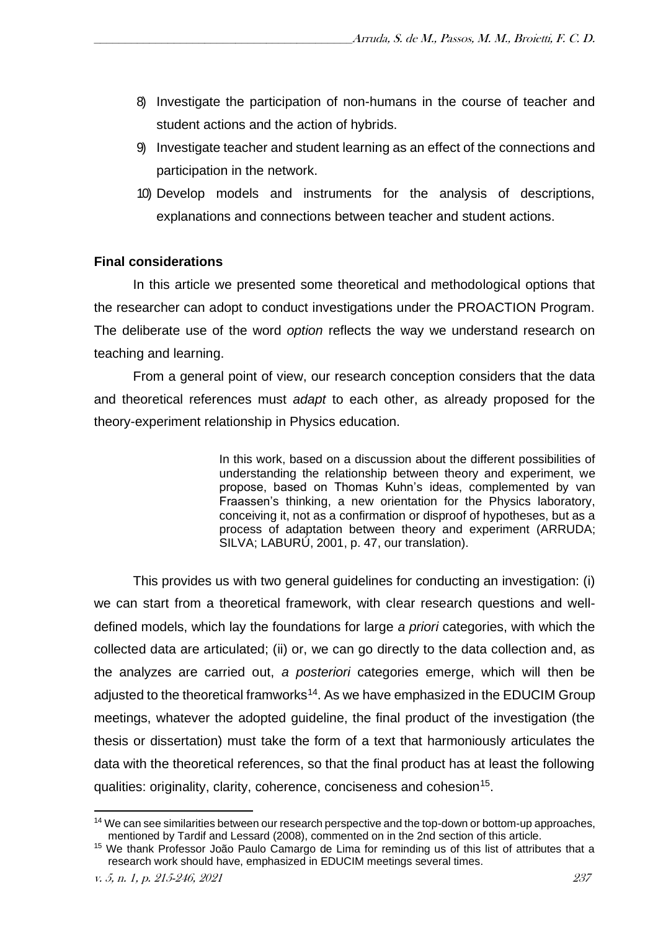- 8) Investigate the participation of non-humans in the course of teacher and student actions and the action of hybrids.
- 9) Investigate teacher and student learning as an effect of the connections and participation in the network.
- 10) Develop models and instruments for the analysis of descriptions, explanations and connections between teacher and student actions.

## **Final considerations**

In this article we presented some theoretical and methodological options that the researcher can adopt to conduct investigations under the PROACTION Program. The deliberate use of the word *option* reflects the way we understand research on teaching and learning.

From a general point of view, our research conception considers that the data and theoretical references must *adapt* to each other, as already proposed for the theory-experiment relationship in Physics education.

> In this work, based on a discussion about the different possibilities of understanding the relationship between theory and experiment, we propose, based on Thomas Kuhn's ideas, complemented by van Fraassen's thinking, a new orientation for the Physics laboratory, conceiving it, not as a confirmation or disproof of hypotheses, but as a process of adaptation between theory and experiment (ARRUDA; SILVA; LABURÚ, 2001, p. 47, our translation).

This provides us with two general guidelines for conducting an investigation: (i) we can start from a theoretical framework, with clear research questions and welldefined models, which lay the foundations for large *a priori* categories, with which the collected data are articulated; (ii) or, we can go directly to the data collection and, as the analyzes are carried out, *a posteriori* categories emerge, which will then be adjusted to the theoretical framworks<sup>14</sup>. As we have emphasized in the EDUCIM Group meetings, whatever the adopted guideline, the final product of the investigation (the thesis or dissertation) must take the form of a text that harmoniously articulates the data with the theoretical references, so that the final product has at least the following qualities: originality, clarity, coherence, conciseness and cohesion<sup>15</sup>.

<sup>&</sup>lt;sup>14</sup> We can see similarities between our research perspective and the top-down or bottom-up approaches, mentioned by Tardif and Lessard (2008), commented on in the 2nd section of this article.

<sup>&</sup>lt;sup>15</sup> We thank Professor João Paulo Camargo de Lima for reminding us of this list of attributes that a research work should have, emphasized in EDUCIM meetings several times.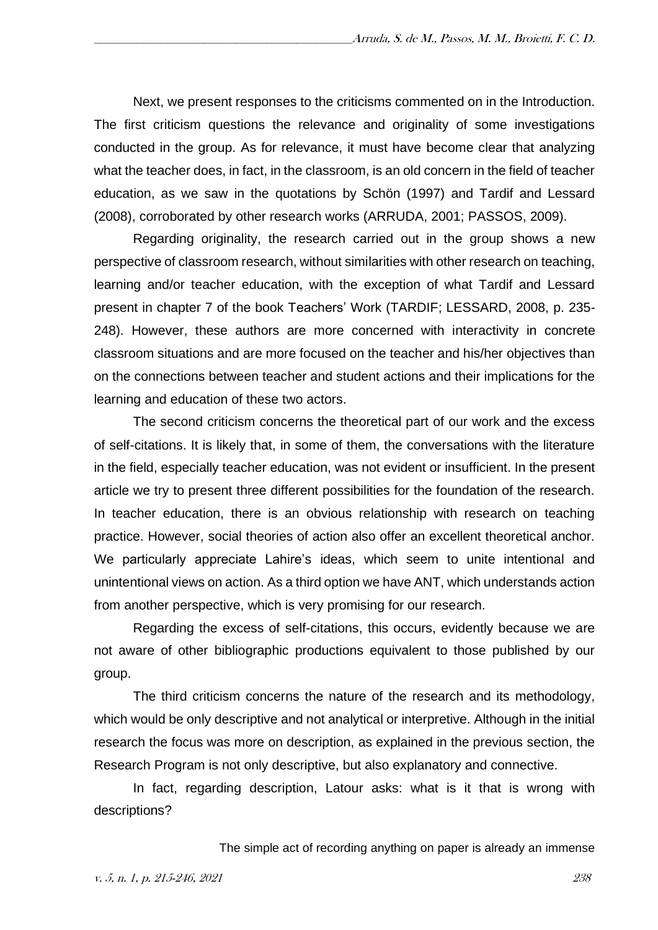Next, we present responses to the criticisms commented on in the Introduction. The first criticism questions the relevance and originality of some investigations conducted in the group. As for relevance, it must have become clear that analyzing what the teacher does, in fact, in the classroom, is an old concern in the field of teacher education, as we saw in the quotations by Schön (1997) and Tardif and Lessard (2008), corroborated by other research works (ARRUDA, 2001; PASSOS, 2009).

Regarding originality, the research carried out in the group shows a new perspective of classroom research, without similarities with other research on teaching, learning and/or teacher education, with the exception of what Tardif and Lessard present in chapter 7 of the book Teachers' Work (TARDIF; LESSARD, 2008, p. 235- 248). However, these authors are more concerned with interactivity in concrete classroom situations and are more focused on the teacher and his/her objectives than on the connections between teacher and student actions and their implications for the learning and education of these two actors.

The second criticism concerns the theoretical part of our work and the excess of self-citations. It is likely that, in some of them, the conversations with the literature in the field, especially teacher education, was not evident or insufficient. In the present article we try to present three different possibilities for the foundation of the research. In teacher education, there is an obvious relationship with research on teaching practice. However, social theories of action also offer an excellent theoretical anchor. We particularly appreciate Lahire's ideas, which seem to unite intentional and unintentional views on action. As a third option we have ANT, which understands action from another perspective, which is very promising for our research.

Regarding the excess of self-citations, this occurs, evidently because we are not aware of other bibliographic productions equivalent to those published by our group.

The third criticism concerns the nature of the research and its methodology, which would be only descriptive and not analytical or interpretive. Although in the initial research the focus was more on description, as explained in the previous section, the Research Program is not only descriptive, but also explanatory and connective.

In fact, regarding description, Latour asks: what is it that is wrong with descriptions?

The simple act of recording anything on paper is already an immense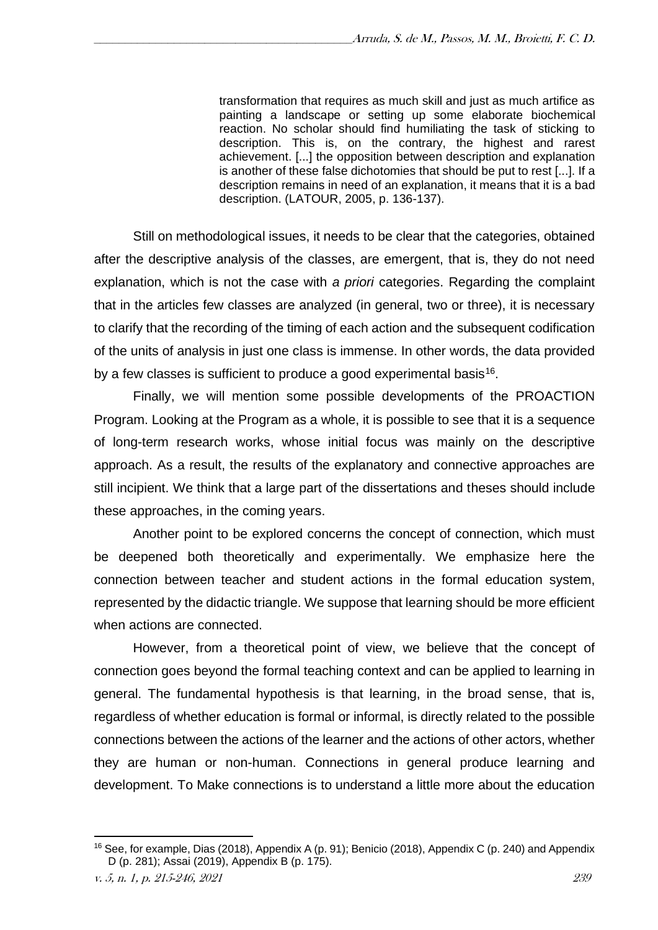transformation that requires as much skill and just as much artifice as painting a landscape or setting up some elaborate biochemical reaction. No scholar should find humiliating the task of sticking to description. This is, on the contrary, the highest and rarest achievement. [...] the opposition between description and explanation is another of these false dichotomies that should be put to rest [...]. If a description remains in need of an explanation, it means that it is a bad description. (LATOUR, 2005, p. 136-137).

Still on methodological issues, it needs to be clear that the categories, obtained after the descriptive analysis of the classes, are emergent, that is, they do not need explanation, which is not the case with *a priori* categories. Regarding the complaint that in the articles few classes are analyzed (in general, two or three), it is necessary to clarify that the recording of the timing of each action and the subsequent codification of the units of analysis in just one class is immense. In other words, the data provided by a few classes is sufficient to produce a good experimental basis<sup>16</sup>.

Finally, we will mention some possible developments of the PROACTION Program. Looking at the Program as a whole, it is possible to see that it is a sequence of long-term research works, whose initial focus was mainly on the descriptive approach. As a result, the results of the explanatory and connective approaches are still incipient. We think that a large part of the dissertations and theses should include these approaches, in the coming years.

Another point to be explored concerns the concept of connection, which must be deepened both theoretically and experimentally. We emphasize here the connection between teacher and student actions in the formal education system, represented by the didactic triangle. We suppose that learning should be more efficient when actions are connected.

However, from a theoretical point of view, we believe that the concept of connection goes beyond the formal teaching context and can be applied to learning in general. The fundamental hypothesis is that learning, in the broad sense, that is, regardless of whether education is formal or informal, is directly related to the possible connections between the actions of the learner and the actions of other actors, whether they are human or non-human. Connections in general produce learning and development. To Make connections is to understand a little more about the education

<sup>16</sup> See, for example, Dias (2018), Appendix A (p. 91); Benicio (2018), Appendix C (p. 240) and Appendix D (p. 281); Assai (2019), Appendix B (p. 175).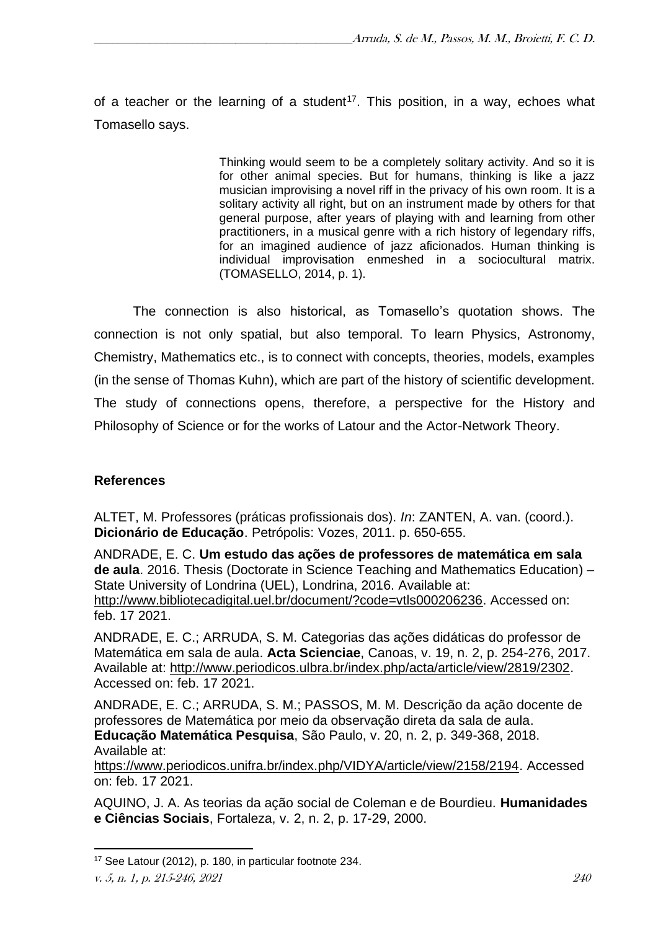of a teacher or the learning of a student<sup>17</sup>. This position, in a way, echoes what Tomasello says.

> Thinking would seem to be a completely solitary activity. And so it is for other animal species. But for humans, thinking is like a jazz musician improvising a novel riff in the privacy of his own room. It is a solitary activity all right, but on an instrument made by others for that general purpose, after years of playing with and learning from other practitioners, in a musical genre with a rich history of legendary riffs, for an imagined audience of jazz aficionados. Human thinking is individual improvisation enmeshed in a sociocultural matrix. (TOMASELLO, 2014, p. 1).

The connection is also historical, as Tomasello's quotation shows. The connection is not only spatial, but also temporal. To learn Physics, Astronomy, Chemistry, Mathematics etc., is to connect with concepts, theories, models, examples (in the sense of Thomas Kuhn), which are part of the history of scientific development. The study of connections opens, therefore, a perspective for the History and Philosophy of Science or for the works of Latour and the Actor-Network Theory.

## **References**

ALTET, M. Professores (práticas profissionais dos). *In*: ZANTEN, A. van. (coord.). **Dicionário de Educação**. Petrópolis: Vozes, 2011. p. 650-655.

ANDRADE, E. C. **Um estudo das ações de professores de matemática em sala de aula**. 2016. Thesis (Doctorate in Science Teaching and Mathematics Education) – State University of Londrina (UEL), Londrina, 2016. Available at: [http://www.bibliotecadigital.uel.br/document/?code=vtls000206236.](http://www.bibliotecadigital.uel.br/document/?code=vtls000206236) Accessed on: feb. 17 2021.

ANDRADE, E. C.; ARRUDA, S. M. Categorias das ações didáticas do professor de Matemática em sala de aula. **Acta Scienciae**, Canoas, v. 19, n. 2, p. 254-276, 2017. Available at: [http://www.periodicos.ulbra.br/index.php/acta/article/view/2819/2302.](http://www.periodicos.ulbra.br/index.php/acta/article/view/2819/2302) Accessed on: feb. 17 2021.

ANDRADE, E. C.; ARRUDA, S. M.; PASSOS, M. M. Descrição da ação docente de professores de Matemática por meio da observação direta da sala de aula. **Educação Matemática Pesquisa**, São Paulo, v. 20, n. 2, p. 349-368, 2018. Available at:

<https://www.periodicos.unifra.br/index.php/VIDYA/article/view/2158/2194.> Accessed on: feb. 17 2021.

AQUINO, J. A. As teorias da ação social de Coleman e de Bourdieu. **Humanidades e Ciências Sociais**, Fortaleza, v. 2, n. 2, p. 17-29, 2000.

<sup>17</sup> See Latour (2012), p. 180, in particular footnote 234.

v. 5, n. 1, p. 215-246, 2021 240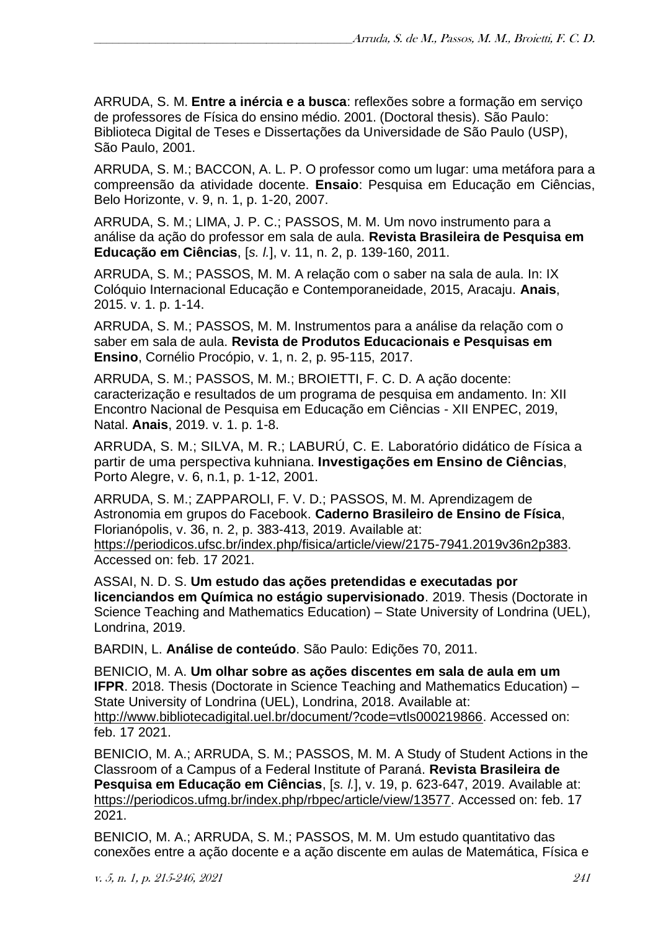ARRUDA, S. M. **Entre a inércia e a busca**: reflexões sobre a formação em serviço de professores de Física do ensino médio. 2001. (Doctoral thesis). São Paulo: Biblioteca Digital de Teses e Dissertações da Universidade de São Paulo (USP), São Paulo, 2001.

ARRUDA, S. M.; BACCON, A. L. P. O professor como um lugar: uma metáfora para a compreensão da atividade docente. **Ensaio**: Pesquisa em Educação em Ciências, Belo Horizonte, v. 9, n. 1, p. 1-20, 2007.

ARRUDA, S. M.; LIMA, J. P. C.; [PASSOS, M.](http://lattes.cnpq.br/3275252597631249) M. Um novo instrumento para a análise da ação do professor em sala de aula. **Revista Brasileira de Pesquisa em Educação em Ciências**, [*s. l.*], v. 11, n. 2, p. 139-160, 2011.

ARRUDA, S. M.; PASSOS, M. M. A relação com o saber na sala de aula. In: IX Colóquio Internacional Educação e Contemporaneidade, 2015, Aracaju. **Anais**, 2015. v. 1. p. 1-14.

ARRUDA, S. M.; PASSOS, M. M. Instrumentos para a análise da relação com o saber em sala de aula. **Revista de Produtos Educacionais e Pesquisas em Ensino**, Cornélio Procópio, v. 1, n. 2, p. 95-115, 2017.

ARRUDA, S. M.; PASSOS, M. M.; BROIETTI, F. C. D. A ação docente: caracterização e resultados de um programa de pesquisa em andamento. In: XII Encontro Nacional de Pesquisa em Educação em Ciências - XII ENPEC, 2019, Natal. **Anais**, 2019. v. 1. p. 1-8.

[ARRUDA, S. M.;](http://lattes.cnpq.br/3162292964889276) SILVA, M. R.; [LABURÚ, C. E.](http://lattes.cnpq.br/7608531416003323) Laboratório didático de Física a partir de uma perspectiva kuhniana. **Investigações em Ensino de Ciências**, Porto Alegre, v. 6, n.1, p. 1-12, 2001.

ARRUDA, S. M.; ZAPPAROLI, F. V. D.; PASSOS, M. M. Aprendizagem de Astronomia em grupos do Facebook. **Caderno Brasileiro de Ensino de Física**, Florianópolis, v. 36, n. 2, p. 383-413, 2019. Available at:

[https://periodicos.ufsc.br/index.php/fisica/article/view/2175-7941.2019v36n2p383.](https://periodicos.ufsc.br/index.php/fisica/article/view/2175-7941.2019v36n2p383) Accessed on: feb. 17 2021.

ASSAI, N. D. S. **Um estudo das ações pretendidas e executadas por licenciandos em Química no estágio supervisionado**. 2019. Thesis (Doctorate in Science Teaching and Mathematics Education) – State University of Londrina (UEL), Londrina, 2019.

BARDIN, L. **Análise de conteúdo**. São Paulo: Edições 70, 2011.

BENICIO, M. A. **Um olhar sobre as ações discentes em sala de aula em um IFPR**. 2018. Thesis (Doctorate in Science Teaching and Mathematics Education) – State University of Londrina (UEL), Londrina, 2018. Available at: [http://www.bibliotecadigital.uel.br/document/?code=vtls000219866.](http://www.bibliotecadigital.uel.br/document/?code=vtls000219866) Accessed on: feb. 17 2021.

BENICIO, M. A.; ARRUDA, S. M.; PASSOS, M. M. A Study of Student Actions in the Classroom of a Campus of a Federal Institute of Paraná. **Revista Brasileira de Pesquisa em Educação em Ciências**, [*s. l.*], v. 19, p. 623-647, 2019. Available at: [https://periodicos.ufmg.br/index.php/rbpec/article/view/13577.](https://periodicos.ufmg.br/index.php/rbpec/article/view/13577) Accessed on: feb. 17 2021.

BENICIO, M. A.; ARRUDA, S. M.; PASSOS, M. M. Um estudo quantitativo das conexões entre a ação docente e a ação discente em aulas de Matemática, Física e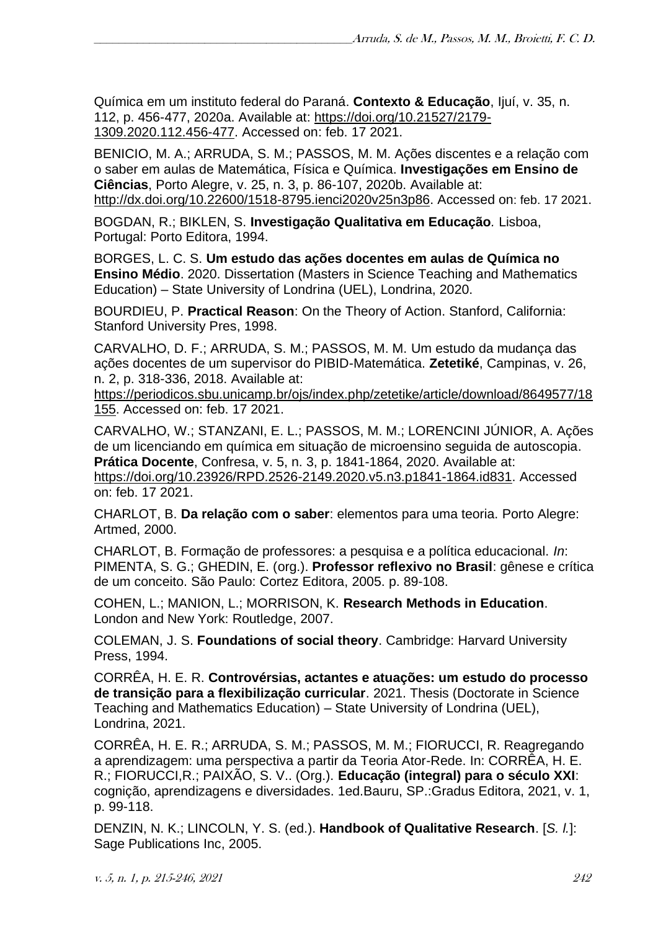Química em um instituto federal do Paraná. **Contexto & Educação**, Ijuí, v. 35, n. 112, p. 456-477, 2020a. Available at: [https://doi.org/10.21527/2179-](https://doi.org/10.21527/2179-1309.2020.112.456-477) [1309.2020.112.456-477.](https://doi.org/10.21527/2179-1309.2020.112.456-477) Accessed on: feb. 17 2021.

BENICIO, M. A.; ARRUDA, S. M.; PASSOS, M. M. Ações discentes e a relação com o saber em aulas de Matemática, Física e Química. **Investigações em Ensino de Ciências**, Porto Alegre, v. 25, n. 3, p. 86-107, 2020b. Available at: [http://dx.doi.org/10.22600/1518-8795.ienci2020v25n3p86.](http://dx.doi.org/10.22600/1518-8795.ienci2020v25n3p86) Accessed on: feb. 17 2021.

BOGDAN, R.; BIKLEN, S. **Investigação Qualitativa em Educação***.* Lisboa, Portugal: Porto Editora, 1994.

BORGES, L. C. S. **Um estudo das ações docentes em aulas de Química no Ensino Médio**. 2020. Dissertation (Masters in Science Teaching and Mathematics Education) – State University of Londrina (UEL), Londrina, 2020.

BOURDIEU, P. **Practical Reason**: On the Theory of Action. Stanford, California: Stanford University Pres, 1998.

CARVALHO, D. F.; ARRUDA, S. M.; PASSOS, M. M. Um estudo da mudança das ações docentes de um supervisor do PIBID-Matemática. **Zetetiké**, Campinas, v. 26, n. 2, p. 318-336, 2018. Available at:

[https://periodicos.sbu.unicamp.br/ojs/index.php/zetetike/article/download/8649577/18](https://periodicos.sbu.unicamp.br/ojs/index.php/zetetike/article/download/8649577/18155) [155.](https://periodicos.sbu.unicamp.br/ojs/index.php/zetetike/article/download/8649577/18155) Accessed on: feb. 17 2021.

CARVALHO, W.; STANZANI, E. L.; PASSOS, M. M.; LORENCINI JÚNIOR, A. Ações de um licenciando em química em situação de microensino seguida de autoscopia. **Prática Docente**, Confresa, v. 5, n. 3, p. 1841-1864, 2020. Available at: [https://doi.org/10.23926/RPD.2526-2149.2020.v5.n3.p1841-1864.id831.](https://doi.org/10.23926/RPD.2526-2149.2020.v5.n3.p1841-1864.id831) Accessed on: feb. 17 2021.

CHARLOT, B. **Da relação com o saber**: elementos para uma teoria. Porto Alegre: Artmed, 2000.

CHARLOT, B. Formação de professores: a pesquisa e a política educacional. *In*: PIMENTA, S. G.; GHEDIN, E. (org.). **Professor reflexivo no Brasil**: gênese e crítica de um conceito. São Paulo: Cortez Editora, 2005. p. 89-108.

COHEN, L.; MANION, L.; MORRISON, K. **Research Methods in Education**. London and New York: Routledge, 2007.

COLEMAN, J. S. **Foundations of social theory**. Cambridge: Harvard University Press, 1994.

CORRÊA, H. E. R. **Controvérsias, actantes e atuações: um estudo do processo de transição para a flexibilização curricular**. 2021. Thesis (Doctorate in Science Teaching and Mathematics Education) – State University of Londrina (UEL), Londrina, 2021.

CORRÊA, H. E. R.; ARRUDA, S. M.; PASSOS, M. M.; FIORUCCI, R. Reagregando a aprendizagem: uma perspectiva a partir da Teoria Ator-Rede. In: CORRÊA, H. E. R.; FIORUCCI,R.; PAIXÃO, S. V.. (Org.). **Educação (integral) para o século XXI**: cognição, aprendizagens e diversidades. 1ed.Bauru, SP.:Gradus Editora, 2021, v. 1, p. 99-118.

DENZIN, N. K.; LINCOLN, Y. S. (ed.). **Handbook of Qualitative Research**. [*S. l.*]: Sage Publications Inc, 2005.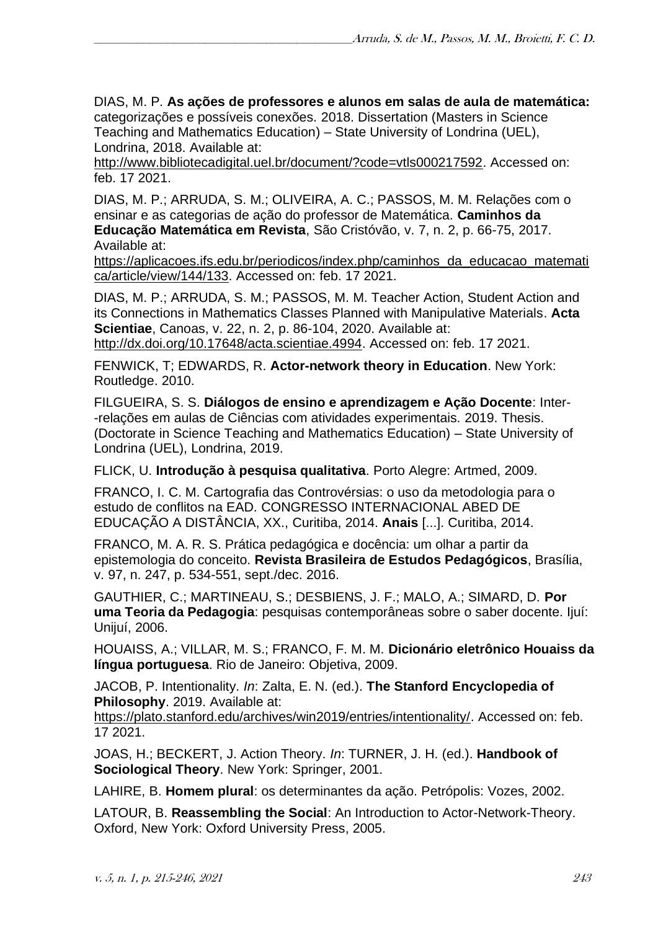DIAS, M. P. **As ações de professores e alunos em salas de aula de matemática:**  categorizações e possíveis conexões. 2018. Dissertation (Masters in Science Teaching and Mathematics Education) – State University of Londrina (UEL), Londrina, 2018. Available at:

[http://www.bibliotecadigital.uel.br/document/?code=vtls000217592.](http://www.bibliotecadigital.uel.br/document/?code=vtls000217592) Accessed on: feb. 17 2021.

DIAS, M. P.; ARRUDA, S. M.; OLIVEIRA, A. C.; PASSOS, M. M. Relações com o ensinar e as categorias de ação do professor de Matemática. **Caminhos da Educação Matemática em Revista**, São Cristóvão, v. 7, n. 2, p. 66-75, 2017. Available at:

[https://aplicacoes.ifs.edu.br/periodicos/index.php/caminhos\\_da\\_educacao\\_matemati](https://aplicacoes.ifs.edu.br/periodicos/index.php/caminhos_da_educacao_matematica/article/view/144/133) [ca/article/view/144/133.](https://aplicacoes.ifs.edu.br/periodicos/index.php/caminhos_da_educacao_matematica/article/view/144/133) Accessed on: feb. 17 2021.

DIAS, M. P.; ARRUDA, S. M.; PASSOS, M. M. Teacher Action, Student Action and its Connections in Mathematics Classes Planned with Manipulative Materials. **Acta Scientiae**, Canoas, v. 22, n. 2, p. 86-104, 2020. Available at:

[http://dx.doi.org/10.17648/acta.scientiae.4994.](http://dx.doi.org/10.17648/acta.scientiae.4994) Accessed on: feb. 17 2021.

FENWICK, T; EDWARDS, R. **Actor-network theory in Education**. New York: Routledge. 2010.

FILGUEIRA, S. S. **Diálogos de ensino e aprendizagem e Ação Docente**: Inter- -relações em aulas de Ciências com atividades experimentais. 2019. Thesis. (Doctorate in Science Teaching and Mathematics Education) – State University of Londrina (UEL), Londrina, 2019.

FLICK, U. **Introdução à pesquisa qualitativa**. Porto Alegre: Artmed, 2009.

FRANCO, I. C. M. Cartografia das Controvérsias: o uso da metodologia para o estudo de conflitos na EAD. CONGRESSO INTERNACIONAL ABED DE EDUCAÇÃO A DISTÂNCIA, XX., Curitiba, 2014. **Anais** [...]. Curitiba, 2014.

FRANCO, M. A. R. S. Prática pedagógica e docência: um olhar a partir da epistemologia do conceito. **Revista Brasileira de Estudos Pedagógicos**, Brasília, v. 97, n. 247, p. 534-551, sept./dec. 2016.

GAUTHIER, C.; MARTINEAU, S.; DESBIENS, J. F.; MALO, A.; SIMARD, D. **Por uma Teoria da Pedagogia**: pesquisas contemporâneas sobre o saber docente. Ijuí: Unijuí, 2006.

HOUAISS, A.; VILLAR, M. S.; FRANCO, F. M. M. **Dicionário eletrônico Houaiss da língua portuguesa**. Rio de Janeiro: Objetiva, 2009.

JACOB, P. Intentionality. *In*: Zalta, E. N. (ed.). **The Stanford Encyclopedia of Philosophy**. 2019. Available at:

[https://plato.stanford.edu/archives/win2019/entries/intentionality/.](https://plato.stanford.edu/archives/win2019/entries/intentionality/) Accessed on: feb. 17 2021.

JOAS, H.; BECKERT, J. Action Theory. *In*: TURNER, J. H. (ed.). **Handbook of Sociological Theory**. New York: Springer, 2001.

LAHIRE, B. **Homem plural**: os determinantes da ação. Petrópolis: Vozes, 2002.

LATOUR, B. **Reassembling the Social**: An Introduction to Actor-Network-Theory. Oxford, New York: Oxford University Press, 2005.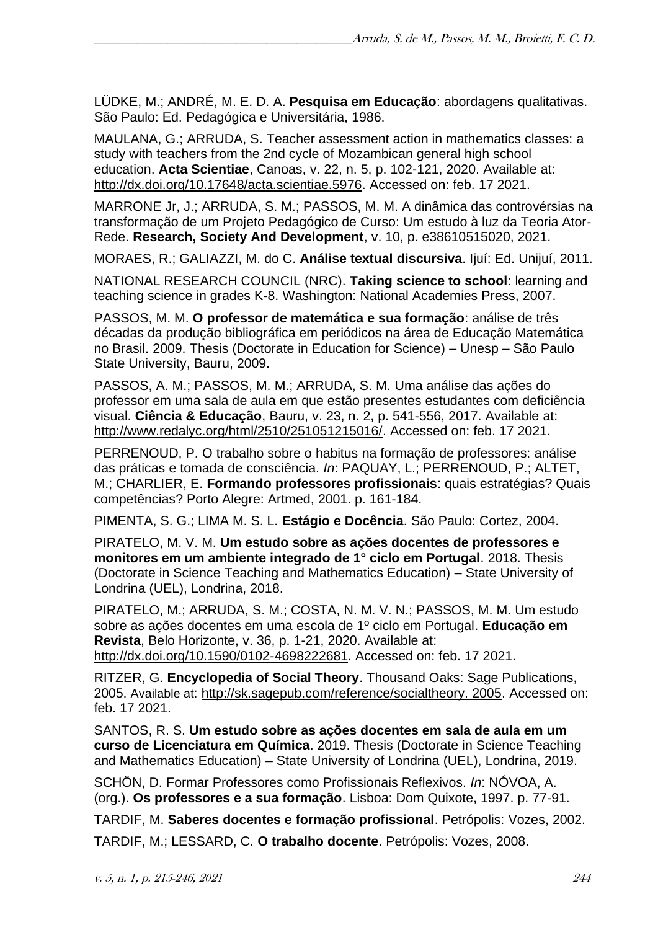LÜDKE, M.; ANDRÉ, M. E. D. A. **Pesquisa em Educação**: abordagens qualitativas. São Paulo: Ed. Pedagógica e Universitária, 1986.

MAULANA, G.; ARRUDA, S. Teacher assessment action in mathematics classes: a study with teachers from the 2nd cycle of Mozambican general high school education. **Acta Scientiae**, Canoas, v. 22, n. 5, p. 102-121, 2020. Available at: [http://dx.doi.org/10.17648/acta.scientiae.5976.](http://dx.doi.org/10.17648/acta.scientiae.5976) Accessed on: feb. 17 2021.

MARRONE Jr, J.; ARRUDA, S. M.; PASSOS, M. M. A dinâmica das controvérsias na transformação de um Projeto Pedagógico de Curso: Um estudo à luz da Teoria Ator-Rede. **Research, Society And Development**, v. 10, p. e38610515020, 2021.

MORAES, R.; GALIAZZI, M. do C. **Análise textual discursiva**. Ijuí: Ed. Unijuí, 2011.

NATIONAL RESEARCH COUNCIL (NRC). **Taking science to school**: learning and teaching science in grades K-8. Washington: National Academies Press, 2007.

PASSOS, M. M. **O professor de matemática e sua formação**: análise de três décadas da produção bibliográfica em periódicos na área de Educação Matemática no Brasil. 2009. Thesis (Doctorate in Education for Science) – Unesp – São Paulo State University, Bauru, 2009.

PASSOS, A. M.; PASSOS, M. M.; ARRUDA, S. M. Uma análise das ações do professor em uma sala de aula em que estão presentes estudantes com deficiência visual. **Ciência & Educação**, Bauru, v. 23, n. 2, p. 541-556, 2017. Available at: [http://www.redalyc.org/html/2510/251051215016/.](http://www.redalyc.org/html/2510/251051215016/) Accessed on: feb. 17 2021.

PERRENOUD, P. O trabalho sobre o habitus na formação de professores: análise das práticas e tomada de consciência. *In*: PAQUAY, L.; PERRENOUD, P.; ALTET, M.; CHARLIER, E. **Formando professores profissionais**: quais estratégias? Quais competências? Porto Alegre: Artmed, 2001. p. 161-184.

PIMENTA, S. G.; LIMA M. S. L. **Estágio e Docência**. São Paulo: Cortez, 2004.

PIRATELO, M. V. M. **Um estudo sobre as ações docentes de professores e monitores em um ambiente integrado de 1° ciclo em Portugal**. 2018. Thesis (Doctorate in Science Teaching and Mathematics Education) – State University of Londrina (UEL), Londrina, 2018.

PIRATELO, M.; ARRUDA, S. M.; COSTA, N. M. V. N.; PASSOS, M. M. Um estudo sobre as ações docentes em uma escola de 1º ciclo em Portugal. **Educação em Revista**, Belo Horizonte, v. 36, p. 1-21, 2020. Available at: [http://dx.doi.org/10.1590/0102-4698222681.](http://dx.doi.org/10.1590/0102-4698222681) Accessed on: feb. 17 2021.

RITZER, G. **Encyclopedia of Social Theory**. Thousand Oaks: Sage Publications, 2005. Available at: [http://sk.sagepub.com/reference/socialtheory. 2005.](http://sk.sagepub.com/reference/socialtheory.%202005) Accessed on: feb. 17 2021.

SANTOS, R. S. **Um estudo sobre as ações docentes em sala de aula em um curso de Licenciatura em Química**. 2019. Thesis (Doctorate in Science Teaching and Mathematics Education) – State University of Londrina (UEL), Londrina, 2019.

SCHÖN, D. Formar Professores como Profissionais Reflexivos. *In*: NÓVOA, A. (org.). **Os professores e a sua formação**. Lisboa: Dom Quixote, 1997. p. 77-91.

TARDIF, M. **Saberes docentes e formação profissional**. Petrópolis: Vozes, 2002.

TARDIF, M.; LESSARD, C. **O trabalho docente**. Petrópolis: Vozes, 2008.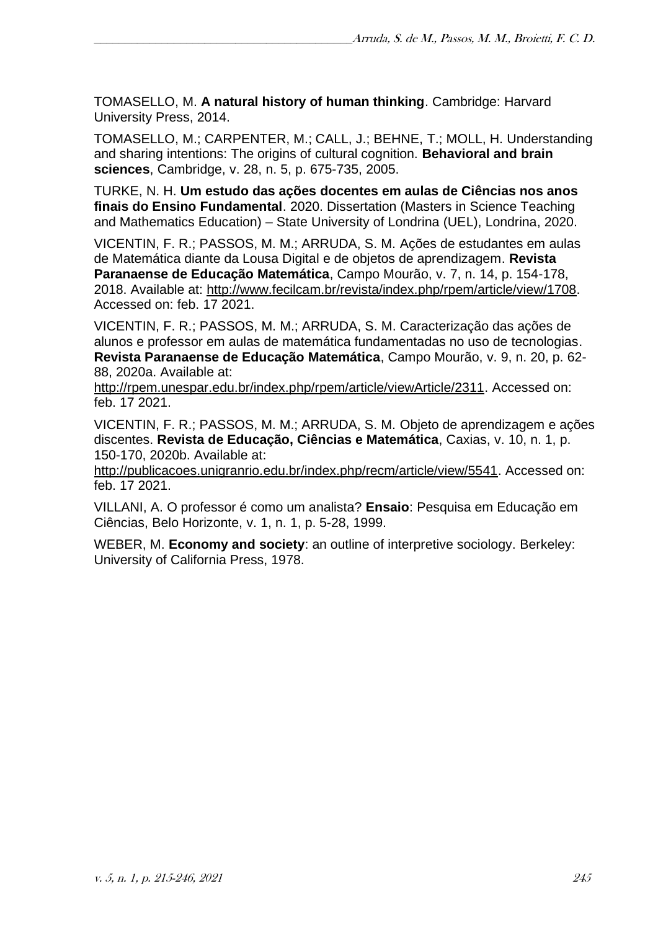TOMASELLO, M. **A natural history of human thinking**. Cambridge: Harvard University Press, 2014.

TOMASELLO, M.; CARPENTER, M.; CALL, J.; BEHNE, T.; MOLL, H. Understanding and sharing intentions: The origins of cultural cognition. **Behavioral and brain sciences**, Cambridge, v. 28, n. 5, p. 675-735, 2005.

TURKE, N. H. **Um estudo das ações docentes em aulas de Ciências nos anos finais do Ensino Fundamental**. 2020. Dissertation (Masters in Science Teaching and Mathematics Education) – State University of Londrina (UEL), Londrina, 2020.

VICENTIN, F. R.; PASSOS, M. M.; ARRUDA, S. M. Ações de estudantes em aulas de Matemática diante da Lousa Digital e de objetos de aprendizagem. **Revista Paranaense de Educação Matemática**, Campo Mourão, v. 7, n. 14, p. 154-178, 2018. Available at: [http://www.fecilcam.br/revista/index.php/rpem/article/view/1708.](http://www.fecilcam.br/revista/index.php/rpem/article/view/1708) Accessed on: feb. 17 2021.

VICENTIN, F. R.; PASSOS, M. M.; ARRUDA, S. M. Caracterização das ações de alunos e professor em aulas de matemática fundamentadas no uso de tecnologias. **Revista Paranaense de Educação Matemática**, Campo Mourão, v. 9, n. 20, p. 62- 88, 2020a. Available at:

[http://rpem.unespar.edu.br/index.php/rpem/article/viewArticle/2311.](http://rpem.unespar.edu.br/index.php/rpem/article/viewArticle/2311) Accessed on: feb. 17 2021.

VICENTIN, F. R.; PASSOS, M. M.; ARRUDA, S. M. Objeto de aprendizagem e ações discentes. **Revista de Educação, Ciências e Matemática**, Caxias, v. 10, n. 1, p. 150-170, 2020b. Available at:

[http://publicacoes.unigranrio.edu.br/index.php/recm/article/view/5541.](http://publicacoes.unigranrio.edu.br/index.php/recm/article/view/5541) Accessed on: feb. 17 2021.

VILLANI, A. O professor é como um analista? **Ensaio**: Pesquisa em Educação em Ciências, Belo Horizonte, v. 1, n. 1, p. 5-28, 1999.

WEBER, M. **Economy and society**: an outline of interpretive sociology. Berkeley: University of California Press, 1978.